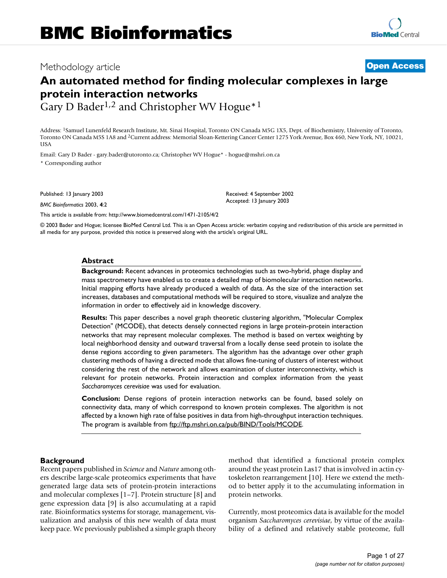# Methodology article **[Open Access](http://www.biomedcentral.com/info/about/charter/)**

# **An automated method for finding molecular complexes in large protein interaction networks**

Gary D Bader<sup>1,2</sup> and Christopher WV Hogue\*<sup>1</sup>

Address: 1Samuel Lunenfeld Research Institute, Mt. Sinai Hospital, Toronto ON Canada M5G 1X5, Dept. of Biochemistry, University of Toronto, Toronto ON Canada M5S 1A8 and 2Current address: Memorial Sloan-Kettering Cancer Center 1275 York Avenue, Box 460, New York, NY, 10021, USA

Email: Gary D Bader - gary.bader@utoronto.ca; Christopher WV Hogue\* - hogue@mshri.on.ca

\* Corresponding author

Published: 13 January 2003

*BMC Bioinformatics* 2003, **4**:2

[This article is available from: http://www.biomedcentral.com/1471-2105/4/2](http://www.biomedcentral.com/1471-2105/4/2)

Received: 4 September 2002 Accepted: 13 January 2003

© 2003 Bader and Hogue; licensee BioMed Central Ltd. This is an Open Access article: verbatim copying and redistribution of this article are permitted in all media for any purpose, provided this notice is preserved along with the article's original URL.

### **Abstract**

**Background:** Recent advances in proteomics technologies such as two-hybrid, phage display and mass spectrometry have enabled us to create a detailed map of biomolecular interaction networks. Initial mapping efforts have already produced a wealth of data. As the size of the interaction set increases, databases and computational methods will be required to store, visualize and analyze the information in order to effectively aid in knowledge discovery.

**Results:** This paper describes a novel graph theoretic clustering algorithm, "Molecular Complex Detection" (MCODE), that detects densely connected regions in large protein-protein interaction networks that may represent molecular complexes. The method is based on vertex weighting by local neighborhood density and outward traversal from a locally dense seed protein to isolate the dense regions according to given parameters. The algorithm has the advantage over other graph clustering methods of having a directed mode that allows fine-tuning of clusters of interest without considering the rest of the network and allows examination of cluster interconnectivity, which is relevant for protein networks. Protein interaction and complex information from the yeast *Saccharomyces cerevisiae* was used for evaluation.

**Conclusion:** Dense regions of protein interaction networks can be found, based solely on connectivity data, many of which correspond to known protein complexes. The algorithm is not affected by a known high rate of false positives in data from high-throughput interaction techniques. The program is available from [ftp://ftp.mshri.on.ca/pub/BIND/Tools/MCODE.](ftp://ftp.mshri.on.ca/pub/BIND/Tools/MCODE)

### **Background**

Recent papers published in *Science* and *Nature* among others describe large-scale proteomics experiments that have generated large data sets of protein-protein interactions and molecular complexes [1–7]. Protein structure [8] and gene expression data [9] is also accumulating at a rapid rate. Bioinformatics systems for storage, management, visualization and analysis of this new wealth of data must keep pace. We previously published a simple graph theory method that identified a functional protein complex around the yeast protein Las17 that is involved in actin cytoskeleton rearrangement [10]. Here we extend the method to better apply it to the accumulating information in protein networks.

Currently, most proteomics data is available for the model organism *Saccharomyces cerevisiae*, by virtue of the availability of a defined and relatively stable proteome, full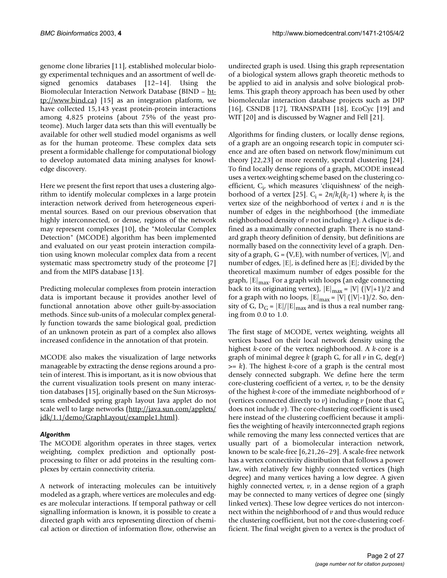genome clone libraries [11], established molecular biology experimental techniques and an assortment of well designed genomics databases [12–14]. Using the Biomolecular Interaction Network Database (BIND - [ht](http://www.bind.ca)[tp://www.bind.ca\)](http://www.bind.ca) [15] as an integration platform, we have collected 15,143 yeast protein-protein interactions among 4,825 proteins (about 75% of the yeast proteome). Much larger data sets than this will eventually be available for other well studied model organisms as well as for the human proteome. These complex data sets present a formidable challenge for computational biology to develop automated data mining analyses for knowledge discovery.

Here we present the first report that uses a clustering algorithm to identify molecular complexes in a large protein interaction network derived from heterogeneous experimental sources. Based on our previous observation that highly interconnected, or dense, regions of the network may represent complexes [10], the "Molecular Complex Detection" (MCODE) algorithm has been implemented and evaluated on our yeast protein interaction compilation using known molecular complex data from a recent systematic mass spectrometry study of the proteome [7] and from the MIPS database [13].

Predicting molecular complexes from protein interaction data is important because it provides another level of functional annotation above other guilt-by-association methods. Since sub-units of a molecular complex generally function towards the same biological goal, prediction of an unknown protein as part of a complex also allows increased confidence in the annotation of that protein.

MCODE also makes the visualization of large networks manageable by extracting the dense regions around a protein of interest. This is important, as it is now obvious that the current visualization tools present on many interaction databases [15], originally based on the Sun Microsystems embedded spring graph layout Java applet do not scale well to large networks [\(http://java.sun.com/applets/](http://java.sun.com/applets/jdk/1.1/demo/GraphLayout/example1.html) [jdk/1.1/demo/GraphLayout/example1.html\)](http://java.sun.com/applets/jdk/1.1/demo/GraphLayout/example1.html).

# *Algorithm*

The MCODE algorithm operates in three stages, vertex weighting, complex prediction and optionally postprocessing to filter or add proteins in the resulting complexes by certain connectivity criteria.

A network of interacting molecules can be intuitively modeled as a graph, where vertices are molecules and edges are molecular interactions. If temporal pathway or cell signalling information is known, it is possible to create a directed graph with arcs representing direction of chemical action or direction of information flow, otherwise an

undirected graph is used. Using this graph representation of a biological system allows graph theoretic methods to be applied to aid in analysis and solve biological problems. This graph theory approach has been used by other biomolecular interaction database projects such as DIP [16], CSNDB [17], TRANSPATH [18], EcoCyc [19] and WIT [20] and is discussed by Wagner and Fell [21].

Algorithms for finding clusters, or locally dense regions, of a graph are an ongoing research topic in computer science and are often based on network flow/minimum cut theory [22,23] or more recently, spectral clustering [24]. To find locally dense regions of a graph, MCODE instead uses a vertex-weighting scheme based on the clustering coefficient, C<sub>i</sub>, which measures 'cliquishness' of the neighborhood of a vertex [25].  $C_i = 2n/k_i(k_i-1)$  where  $k_i$  is the vertex size of the neighborhood of vertex *i* and *n* is the number of edges in the neighborhood (the immediate neighborhood density of *v* not including *v*). A clique is defined as a maximally connected graph. There is no standard graph theory definition of density, but definitions are normally based on the connectivity level of a graph. Density of a graph,  $G = (V,E)$ , with number of vertices,  $|V|$ , and number of edges, |E|, is defined here as |E|; divided by the theoretical maximum number of edges possible for the graph,  $|E|_{max}$ . For a graph with loops (an edge connecting back to its originating vertex),  $|E|_{max} = |V| (|V|+1)/2$  and for a graph with no loops,  $|E|_{max} = |V|$  ( $|V|-1$ )/2. So, density of G,  $D_G = |E|/|E|_{max}$  and is thus a real number ranging from 0.0 to 1.0.

The first stage of MCODE, vertex weighting, weights all vertices based on their local network density using the highest *k*-core of the vertex neighborhood. A *k*-core is a graph of minimal degree *k* (graph G, for all *v* in G, deg(*v*) >= *k*). The highest *k*-core of a graph is the central most densely connected subgraph. We define here the term core-clustering coefficient of a vertex, *v*, to be the density of the highest *k*-core of the immediate neighborhood of *v* (vertices connected directly to  $v$ ) including  $v$  (note that  $C_i$ does not include *v*). The core-clustering coefficient is used here instead of the clustering coefficient because it amplifies the weighting of heavily interconnected graph regions while removing the many less connected vertices that are usually part of a biomolecular interaction network, known to be scale-free [6,21,26–29]. A scale-free network has a vertex connectivity distribution that follows a power law, with relatively few highly connected vertices (high degree) and many vertices having a low degree. A given highly connected vertex, *v*, in a dense region of a graph may be connected to many vertices of degree one (singly linked vertex). These low degree vertices do not interconnect within the neighborhood of *v* and thus would reduce the clustering coefficient, but not the core-clustering coefficient. The final weight given to a vertex is the product of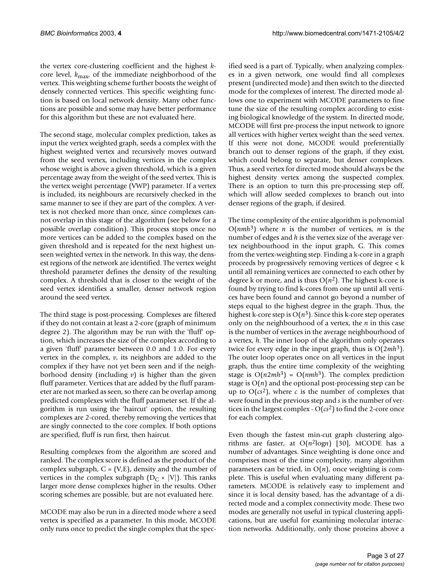the vertex core-clustering coefficient and the highest *k*core level, *k*max, of the immediate neighborhood of the vertex. This weighting scheme further boosts the weight of densely connected vertices. This specific weighting function is based on local network density. Many other functions are possible and some may have better performance for this algorithm but these are not evaluated here.

The second stage, molecular complex prediction, takes as input the vertex weighted graph, seeds a complex with the highest weighted vertex and recursively moves outward from the seed vertex, including vertices in the complex whose weight is above a given threshold, which is a given percentage away from the weight of the seed vertex. This is the vertex weight percentage (VWP) parameter. If a vertex is included, its neighbours are recursively checked in the same manner to see if they are part of the complex. A vertex is not checked more than once, since complexes cannot overlap in this stage of the algorithm (see below for a possible overlap condition). This process stops once no more vertices can be added to the complex based on the given threshold and is repeated for the next highest unseen weighted vertex in the network. In this way, the densest regions of the network are identified. The vertex weight threshold parameter defines the density of the resulting complex. A threshold that is closer to the weight of the seed vertex identifies a smaller, denser network region around the seed vertex.

The third stage is post-processing. Complexes are filtered if they do not contain at least a 2-core (graph of minimum degree 2). The algorithm may be run with the 'fluff' option, which increases the size of the complex according to a given 'fluff' parameter between 0.0 and 1.0. For every vertex in the complex, *v*, its neighbors are added to the complex if they have not yet been seen and if the neighborhood density (including *v*) is higher than the given fluff parameter. Vertices that are added by the fluff parameter are not marked as seen, so there can be overlap among predicted complexes with the fluff parameter set. If the algorithm is run using the 'haircut' option, the resulting complexes are 2-cored, thereby removing the vertices that are singly connected to the core complex. If both options are specified, fluff is run first, then haircut.

Resulting complexes from the algorithm are scored and ranked. The complex score is defined as the product of the complex subgraph,  $C = (V,E)$ , density and the number of vertices in the complex subgraph ( $D_C \times |V|$ ). This ranks larger more dense complexes higher in the results. Other scoring schemes are possible, but are not evaluated here.

MCODE may also be run in a directed mode where a seed vertex is specified as a parameter. In this mode, MCODE only runs once to predict the single complex that the specified seed is a part of. Typically, when analyzing complexes in a given network, one would find all complexes present (undirected mode) and then switch to the directed mode for the complexes of interest. The directed mode allows one to experiment with MCODE parameters to fine tune the size of the resulting complex according to existing biological knowledge of the system. In directed mode, MCODE will first pre-process the input network to ignore all vertices with higher vertex weight than the seed vertex. If this were not done, MCODE would preferentially branch out to denser regions of the graph, if they exist, which could belong to separate, but denser complexes. Thus, a seed vertex for directed mode should always be the highest density vertex among the suspected complex. There is an option to turn this pre-processing step off, which will allow seeded complexes to branch out into denser regions of the graph, if desired.

The time complexity of the entire algorithm is polynomial O(*nmh*3) where *n* is the number of vertices, *m* is the number of edges and *h* is the vertex size of the average vertex neighbourhood in the input graph, G. This comes from the vertex-weighting step. Finding a k-core in a graph proceeds by progressively removing vertices of degree < k until all remaining vertices are connected to each other by degree k or more, and is thus  $O(n^2)$ . The highest k-core is found by trying to find k-cores from one up until all vertices have been found and cannot go beyond a number of steps equal to the highest degree in the graph. Thus, the highest k-core step is  $O(n^3)$ . Since this k-core step operates only on the neighbourhood of a vertex, the *n* in this case is the number of vertices in the average neighbourhood of a vertex, *h*. The inner loop of the algorithm only operates twice for every edge in the input graph, thus is O(2*mh*3). The outer loop operates once on all vertices in the input graph, thus the entire time complexity of the weighting stage is  $O(n2mh^3) = O(nmh^3)$ . The complex prediction stage is  $O(n)$  and the optional post-processing step can be up to  $O(c<sup>2</sup>)$ , where *c* is the number of complexes that were found in the previous step and *s* is the number of vertices in the largest complex -  $O(c<sup>2</sup>)$  to find the 2-core once for each complex.

Even though the fastest min-cut graph clustering algorithms are faster, at  $O(n^2 \log n)$  [30], MCODE has a number of advantages. Since weighting is done once and comprises most of the time complexity, many algorithm parameters can be tried, in  $O(n)$ , once weighting is complete. This is useful when evaluating many different parameters. MCODE is relatively easy to implement and since it is local density based, has the advantage of a directed mode and a complex connectivity mode. These two modes are generally not useful in typical clustering applications, but are useful for examining molecular interaction networks. Additionally, only those proteins above a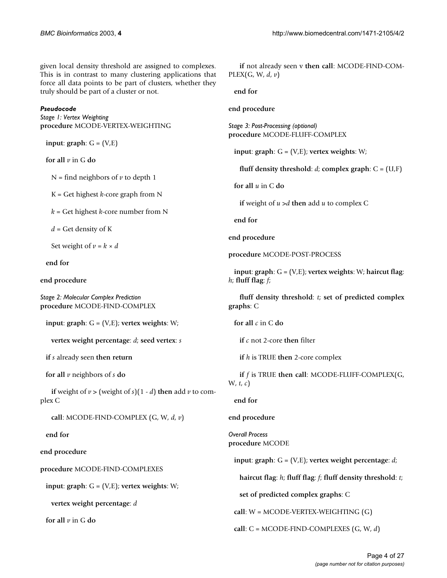given local density threshold are assigned to complexes. This is in contrast to many clustering applications that force all data points to be part of clusters, whether they truly should be part of a cluster or not.

#### *Pseudocode*

*Stage 1: Vertex Weighting* **procedure** MCODE-VERTEX-WEIGHTING

**input**: **graph**: G = (V,E)

**for all** *v* in G **do**

 $N =$  find neighbors of  $\nu$  to depth 1

K = Get highest *k*-core graph from N

*k* = Get highest *k*-core number from N

*d* = Get density of K

Set weight of  $v = k \times d$ 

**end for**

**end procedure**

*Stage 2: Molecular Complex Prediction* **procedure** MCODE-FIND-COMPLEX

**input**: **graph**: G = (V,E); **vertex weights**: W;

**vertex weight percentage**: *d*; **seed vertex**: *s*

**if** *s* already seen **then return**

**for all** *v* neighbors of *s* **do**

**if** weight of  $\nu$  > (weight of *s*)(1 - *d*) **then** add  $\nu$  to complex C

**call**: MCODE-FIND-COMPLEX (G, W, *d*, *v*)

**end for**

**end procedure**

**procedure** MCODE-FIND-COMPLEXES

**input**: **graph**: G = (V,E); **vertex weights**: W;

**vertex weight percentage**: *d*

**for all** *v* in G **do**

**if** not already seen v **then call**: MCODE-FIND-COM-PLEX(G, W, *d*, *v*)

**end for**

### **end procedure**

*Stage 3: Post-Processing (optional)* **procedure** MCODE-FLUFF-COMPLEX

**input**: **graph**: G = (V,E); **vertex weights**: W;

**fluff density threshold**:  $d$ ; **complex graph**:  $C = (U, F)$ 

**for all** *u* in C **do**

**if** weight of  $u > d$  **then** add  $u$  to complex C

**end for**

**end procedure**

**procedure** MCODE-POST-PROCESS

**input**: **graph**: G = (V,E); **vertex weights**: W; **haircut flag**: *h*; **fluff flag**: *f*;

**fluff density threshold**: *t*; **set of predicted complex graphs**: C

**for all** *c* in C **do**

**if** *c* not 2-core **then** filter

**if** *h* is TRUE **then** 2-core complex

**if** *f* is TRUE **then call**: MCODE-FLUFF-COMPLEX(G, W, *t*, *c*)

**end for**

**end procedure**

*Overall Process* **procedure** MCODE

**input**: **graph**: G = (V,E); **vertex weight percentage**: *d*;

**haircut flag**: *h*; **fluff flag**: *f*; **fluff density threshold**: *t*;

**set of predicted complex graphs**: C

**call**: W = MCODE-VERTEX-WEIGHTING (G)

**call**: C = MCODE-FIND-COMPLEXES (G, W, *d*)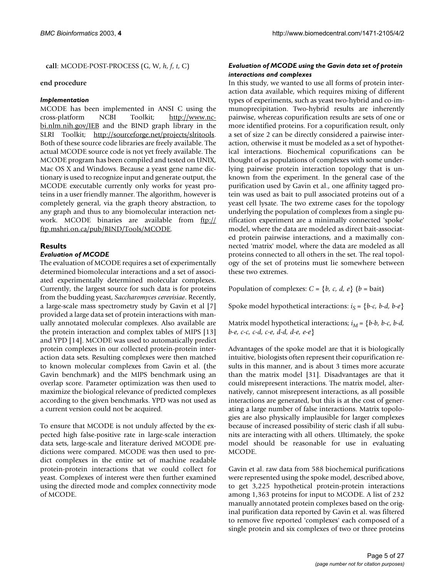### **call**: MCODE-POST-PROCESS (G, W, *h*, *f*, *t*, C)

### **end procedure**

# *Implementation*

MCODE has been implemented in ANSI C using the cross-platform NCBI Toolkit; [http://www.nc](http://www.ncbi.nlm.nih.gov/IEB)[bi.nlm.nih.gov/IEB](http://www.ncbi.nlm.nih.gov/IEB) and the BIND graph library in the SLRI Toolkit; [http://sourceforge.net/projects/slritools.](http://sourceforge.net/projects/slritools) Both of these source code libraries are freely available. The actual MCODE source code is not yet freely available. The MCODE program has been compiled and tested on UNIX, Mac OS X and Windows. Because a yeast gene name dictionary is used to recognize input and generate output, the MCODE executable currently only works for yeast proteins in a user friendly manner. The algorithm, however is completely general, via the graph theory abstraction, to any graph and thus to any biomolecular interaction network. MCODE binaries are available from [ftp://](ftp://ftp.mshri.on.ca/pub/BIND/Tools/MCODE) [ftp.mshri.on.ca/pub/BIND/Tools/MCODE.](ftp://ftp.mshri.on.ca/pub/BIND/Tools/MCODE)

# **Results**

# *Evaluation of MCODE*

The evaluation of MCODE requires a set of experimentally determined biomolecular interactions and a set of associated experimentally determined molecular complexes. Currently, the largest source for such data is for proteins from the budding yeast, *Saccharomyces cerevisiae*. Recently, a large-scale mass spectrometry study by Gavin et al [7] provided a large data set of protein interactions with manually annotated molecular complexes. Also available are the protein interaction and complex tables of MIPS [13] and YPD [14]. MCODE was used to automatically predict protein complexes in our collected protein-protein interaction data sets. Resulting complexes were then matched to known molecular complexes from Gavin et al. (the Gavin benchmark) and the MIPS benchmark using an overlap score. Parameter optimization was then used to maximize the biological relevance of predicted complexes according to the given benchmarks. YPD was not used as a current version could not be acquired.

To ensure that MCODE is not unduly affected by the expected high false-positive rate in large-scale interaction data sets, large-scale and literature derived MCODE predictions were compared. MCODE was then used to predict complexes in the entire set of machine readable protein-protein interactions that we could collect for yeast. Complexes of interest were then further examined using the directed mode and complex connectivity mode of MCODE.

# *Evaluation of MCODE using the Gavin data set of protein interactions and complexes*

In this study, we wanted to use all forms of protein interaction data available, which requires mixing of different types of experiments, such as yeast two-hybrid and co-immunoprecipitation. Two-hybrid results are inherently pairwise, whereas copurification results are sets of one or more identified proteins. For a copurification result, only a set of size 2 can be directly considered a pairwise interaction, otherwise it must be modeled as a set of hypothetical interactions. Biochemical copurifications can be thought of as populations of complexes with some underlying pairwise protein interaction topology that is unknown from the experiment. In the general case of the purification used by Gavin et al., one affinity tagged protein was used as bait to pull associated proteins out of a yeast cell lysate. The two extreme cases for the topology underlying the population of complexes from a single purification experiment are a minimally connected 'spoke' model, where the data are modeled as direct bait-associated protein pairwise interactions, and a maximally connected 'matrix' model, where the data are modeled as all proteins connected to all others in the set. The real topology of the set of proteins must lie somewhere between these two extremes.

Population of complexes:  $C = \{b, c, d, e\}$  ( $b = \text{bait}$ )

Spoke model hypothetical interactions:  $i_S = \{b-c, b-d, b-e\}$ 

Matrix model hypothetical interactions;  $i_M = \{b-b, b-c, b-d, c\}$ *b-e, c-c, c-d, c-e, d-d, d-e, e-e*}

Advantages of the spoke model are that it is biologically intuitive, biologists often represent their copurification results in this manner, and is about 3 times more accurate than the matrix model [31]. Disadvantages are that it could misrepresent interactions. The matrix model, alternatively, cannot misrepresent interactions, as all possible interactions are generated, but this is at the cost of generating a large number of false interactions. Matrix topologies are also physically implausible for larger complexes because of increased possibility of steric clash if all subunits are interacting with all others. Ultimately, the spoke model should be reasonable for use in evaluating MCODE.

Gavin et al. raw data from 588 biochemical purifications were represented using the spoke model, described above, to get 3,225 hypothetical protein-protein interactions among 1,363 proteins for input to MCODE. A list of 232 manually annotated protein complexes based on the original purification data reported by Gavin et al. was filtered to remove five reported 'complexes' each composed of a single protein and six complexes of two or three proteins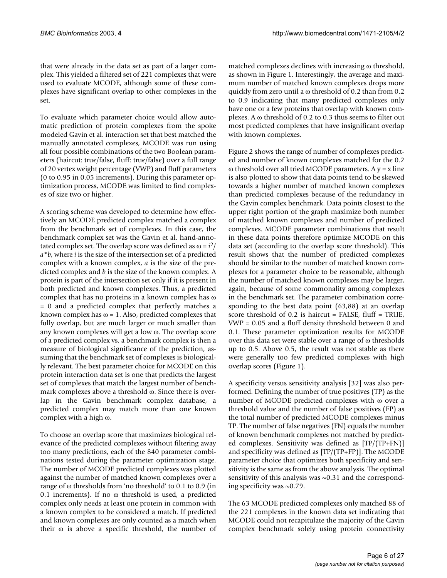that were already in the data set as part of a larger complex. This yielded a filtered set of 221 complexes that were used to evaluate MCODE, although some of these complexes have significant overlap to other complexes in the set.

To evaluate which parameter choice would allow automatic prediction of protein complexes from the spoke modeled Gavin et al. interaction set that best matched the manually annotated complexes, MCODE was run using all four possible combinations of the two Boolean parameters (haircut: true/false, fluff: true/false) over a full range of 20 vertex weight percentage (VWP) and fluff parameters (0 to 0.95 in 0.05 increments). During this parameter optimization process, MCODE was limited to find complexes of size two or higher.

A scoring scheme was developed to determine how effectively an MCODE predicted complex matched a complex from the benchmark set of complexes. In this case, the benchmark complex set was the Gavin et al. hand-annotated complex set. The overlap score was defined as  $\omega = i^2/2$ *a*\**b*, where *i* is the size of the intersection set of a predicted complex with a known complex, *a* is the size of the predicted complex and *b* is the size of the known complex. A protein is part of the intersection set only if it is present in both predicted and known complexes. Thus, a predicted complex that has no proteins in a known complex has ω = 0 and a predicted complex that perfectly matches a known complex has  $\omega = 1$ . Also, predicted complexes that fully overlap, but are much larger or much smaller than any known complexes will get a low ω. The overlap score of a predicted complex vs. a benchmark complex is then a measure of biological significance of the prediction, assuming that the benchmark set of complexes is biologically relevant. The best parameter choice for MCODE on this protein interaction data set is one that predicts the largest set of complexes that match the largest number of benchmark complexes above a threshold ω. Since there is overlap in the Gavin benchmark complex database, a predicted complex may match more than one known complex with a high ω.

To choose an overlap score that maximizes biological relevance of the predicted complexes without filtering away too many predictions, each of the 840 parameter combinations tested during the parameter optimization stage. The number of MCODE predicted complexes was plotted against the number of matched known complexes over a range of ω thresholds from 'no threshold' to 0.1 to 0.9 (in 0.1 increments). If no ω threshold is used, a predicted complex only needs at least one protein in common with a known complex to be considered a match. If predicted and known complexes are only counted as a match when their ω is above a specific threshold, the number of matched complexes declines with increasing ω threshold, as shown in Figure [1.](#page-6-0) Interestingly, the average and maximum number of matched known complexes drops more quickly from zero until a ω threshold of 0.2 than from 0.2 to 0.9 indicating that many predicted complexes only have one or a few proteins that overlap with known complexes. A ω threshold of 0.2 to 0.3 thus seems to filter out most predicted complexes that have insignificant overlap with known complexes.

Figure [2](#page-7-0) shows the range of number of complexes predicted and number of known complexes matched for the 0.2  $\omega$  threshold over all tried MCODE parameters. A y = x line is also plotted to show that data points tend to be skewed towards a higher number of matched known complexes than predicted complexes because of the redundancy in the Gavin complex benchmark. Data points closest to the upper right portion of the graph maximize both number of matched known complexes and number of predicted complexes. MCODE parameter combinations that result in these data points therefore optimize MCODE on this data set (according to the overlap score threshold). This result shows that the number of predicted complexes should be similar to the number of matched known complexes for a parameter choice to be reasonable, although the number of matched known complexes may be larger, again, because of some commonality among complexes in the benchmark set. The parameter combination corresponding to the best data point (63,88) at an overlap score threshold of 0.2 is haircut = FALSE, fluff = TRUE, VWP = 0.05 and a fluff density threshold between 0 and 0.1. These parameter optimization results for MCODE over this data set were stable over a range of ω thresholds up to 0.5. Above 0.5, the result was not stable as there were generally too few predicted complexes with high overlap scores (Figure [1\)](#page-6-0).

A specificity versus sensitivity analysis [32] was also performed. Defining the number of true positives (TP) as the number of MCODE predicted complexes with ω over a threshold value and the number of false positives (FP) as the total number of predicted MCODE complexes minus TP. The number of false negatives (FN) equals the number of known benchmark complexes not matched by predicted complexes. Sensitivity was defined as [TP/(TP+FN)] and specificity was defined as [TP/(TP+FP)]. The MCODE parameter choice that optimizes both specificity and sensitivity is the same as from the above analysis. The optimal sensitivity of this analysis was  $\sim 0.31$  and the corresponding specificity was  $\sim 0.79$ .

The 63 MCODE predicted complexes only matched 88 of the 221 complexes in the known data set indicating that MCODE could not recapitulate the majority of the Gavin complex benchmark solely using protein connectivity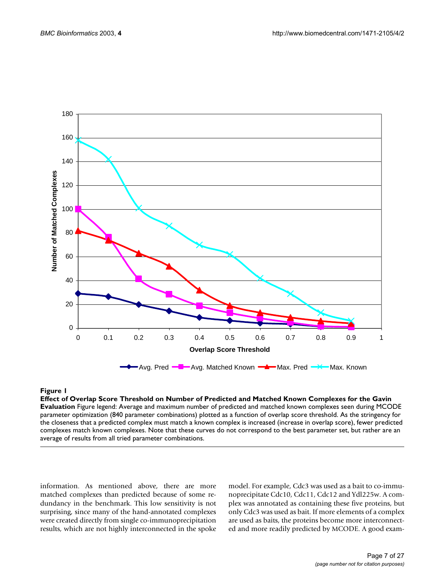<span id="page-6-0"></span>

**Effect of Overlap Score Threshold on Number of Predicted and Matched Known Complexes for the Gavin Evaluation** Figure legend: Average and maximum number of predicted and matched known complexes seen during MCODE parameter optimization (840 parameter combinations) plotted as a function of overlap score threshold. As the stringency for the closeness that a predicted complex must match a known complex is increased (increase in overlap score), fewer predicted complexes match known complexes. Note that these curves do not correspond to the best parameter set, but rather are an average of results from all tried parameter combinations.

information. As mentioned above, there are more matched complexes than predicted because of some redundancy in the benchmark. This low sensitivity is not surprising, since many of the hand-annotated complexes were created directly from single co-immunoprecipitation results, which are not highly interconnected in the spoke model. For example, Cdc3 was used as a bait to co-immunoprecipitate Cdc10, Cdc11, Cdc12 and Ydl225w. A complex was annotated as containing these five proteins, but only Cdc3 was used as bait. If more elements of a complex are used as baits, the proteins become more interconnected and more readily predicted by MCODE. A good exam-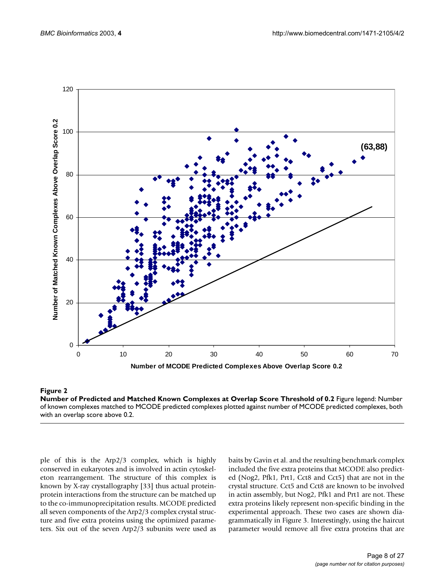<span id="page-7-0"></span>

### **Figure 2 Number of Predicted and Matched Known Complexes at Overlap Score Threshold of 0.2** Figure legend: Number of known complexes matched to MCODE predicted complexes plotted against number of MCODE predicted complexes, both with an overlap score above 0.2.

ple of this is the Arp2/3 complex, which is highly conserved in eukaryotes and is involved in actin cytoskeleton rearrangement. The structure of this complex is known by X-ray crystallography [33] thus actual proteinprotein interactions from the structure can be matched up to the co-immunoprecipitation results. MCODE predicted all seven components of the Arp2/3 complex crystal structure and five extra proteins using the optimized parameters. Six out of the seven Arp2/3 subunits were used as baits by Gavin et al. and the resulting benchmark complex included the five extra proteins that MCODE also predicted (Nog2, Pfk1, Prt1, Cct8 and Cct5) that are not in the crystal structure. Cct5 and Cct8 are known to be involved in actin assembly, but Nog2, Pfk1 and Prt1 are not. These extra proteins likely represent non-specific binding in the experimental approach. These two cases are shown diagrammatically in Figure 3. Interestingly, using the haircut parameter would remove all five extra proteins that are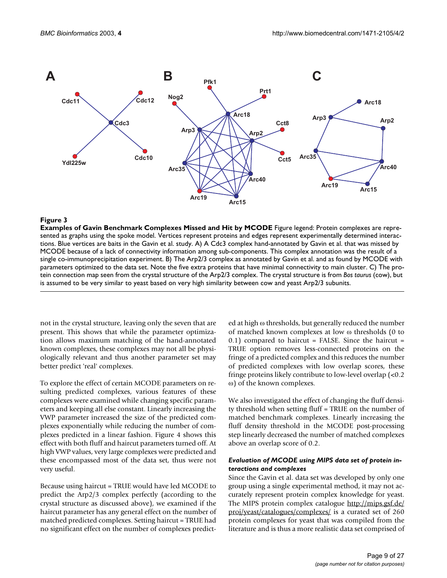

**Examples of Gavin Benchmark Complexes Missed and Hit by MCODE** Figure legend: Protein complexes are represented as graphs using the spoke model. Vertices represent proteins and edges represent experimentally determined interactions. Blue vertices are baits in the Gavin et al. study. A) A Cdc3 complex hand-annotated by Gavin et al. that was missed by MCODE because of a lack of connectivity information among sub-components. This complex annotation was the result of a single co-immunoprecipitation experiment. B) The Arp2/3 complex as annotated by Gavin et al. and as found by MCODE with parameters optimized to the data set. Note the five extra proteins that have minimal connectivity to main cluster. C) The protein connection map seen from the crystal structure of the Arp2/3 complex. The crystal structure is from *Bos taurus* (cow), but is assumed to be very similar to yeast based on very high similarity between cow and yeast Arp2/3 subunits.

not in the crystal structure, leaving only the seven that are present. This shows that while the parameter optimization allows maximum matching of the hand-annotated known complexes, these complexes may not all be physiologically relevant and thus another parameter set may better predict 'real' complexes.

To explore the effect of certain MCODE parameters on resulting predicted complexes, various features of these complexes were examined while changing specific parameters and keeping all else constant. Linearly increasing the VWP parameter increased the size of the predicted complexes exponentially while reducing the number of complexes predicted in a linear fashion. Figure [4](#page-9-0) shows this effect with both fluff and haircut parameters turned off. At high VWP values, very large complexes were predicted and these encompassed most of the data set, thus were not very useful.

Because using haircut = TRUE would have led MCODE to predict the Arp2/3 complex perfectly (according to the crystal structure as discussed above), we examined if the haircut parameter has any general effect on the number of matched predicted complexes. Setting haircut = TRUE had no significant effect on the number of complexes predicted at high ω thresholds, but generally reduced the number of matched known complexes at low ω thresholds (0 to  $(0.1)$  compared to haircut = FALSE. Since the haircut = TRUE option removes less-connected proteins on the fringe of a predicted complex and this reduces the number of predicted complexes with low overlap scores, these fringe proteins likely contribute to low-level overlap (<0.2 ω) of the known complexes.

We also investigated the effect of changing the fluff density threshold when setting fluff = TRUE on the number of matched benchmark complexes. Linearly increasing the fluff density threshold in the MCODE post-processing step linearly decreased the number of matched complexes above an overlap score of 0.2.

### *Evaluation of MCODE using MIPS data set of protein interactions and complexes*

Since the Gavin et al. data set was developed by only one group using a single experimental method, it may not accurately represent protein complex knowledge for yeast. The MIPS protein complex catalogue [http://mips.gsf.de/](http://mips.gsf.de/proj/yeast/catalogues/complexes/) [proj/yeast/catalogues/complexes/](http://mips.gsf.de/proj/yeast/catalogues/complexes/) is a curated set of 260 protein complexes for yeast that was compiled from the literature and is thus a more realistic data set comprised of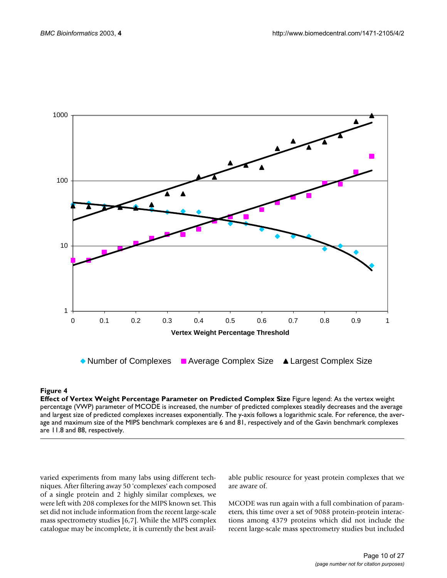<span id="page-9-0"></span>

**Effect of Vertex Weight Percentage Parameter on Predicted Complex Size** Figure legend: As the vertex weight percentage (VWP) parameter of MCODE is increased, the number of predicted complexes steadily decreases and the average and largest size of predicted complexes increases exponentially. The y-axis follows a logarithmic scale. For reference, the average and maximum size of the MIPS benchmark complexes are 6 and 81, respectively and of the Gavin benchmark complexes are 11.8 and 88, respectively.

varied experiments from many labs using different techniques. After filtering away 50 'complexes' each composed of a single protein and 2 highly similar complexes, we were left with 208 complexes for the MIPS known set. This set did not include information from the recent large-scale mass spectrometry studies [6,7]. While the MIPS complex catalogue may be incomplete, it is currently the best available public resource for yeast protein complexes that we are aware of.

MCODE was run again with a full combination of parameters, this time over a set of 9088 protein-protein interactions among 4379 proteins which did not include the recent large-scale mass spectrometry studies but included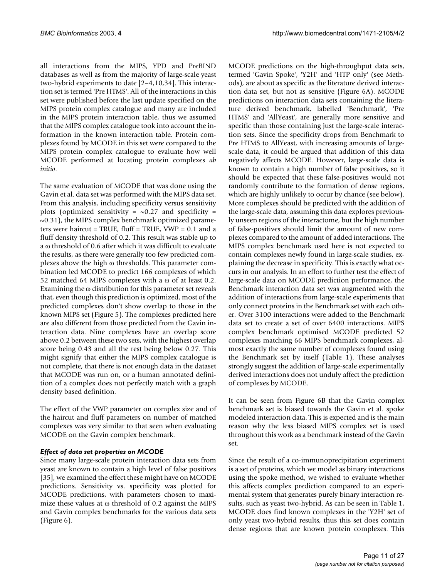all interactions from the MIPS, YPD and PreBIND databases as well as from the majority of large-scale yeast two-hybrid experiments to date [2–4,10,34]. This interaction set is termed 'Pre HTMS'. All of the interactions in this set were published before the last update specified on the MIPS protein complex catalogue and many are included in the MIPS protein interaction table, thus we assumed that the MIPS complex catalogue took into account the information in the known interaction table. Protein complexes found by MCODE in this set were compared to the MIPS protein complex catalogue to evaluate how well MCODE performed at locating protein complexes *ab initio*.

The same evaluation of MCODE that was done using the Gavin et al. data set was performed with the MIPS data set. From this analysis, including specificity versus sensitivity plots (optimized sensitivity =  $\sim 0.27$  and specificity =  $\sim$ 0.31), the MIPS complex benchmark optimized parameters were haircut = TRUE, fluff = TRUE, VWP = 0.1 and a fluff density threshold of 0.2. This result was stable up to a ω threshold of 0.6 after which it was difficult to evaluate the results, as there were generally too few predicted complexes above the high ω thresholds. This parameter combination led MCODE to predict 166 complexes of which 52 matched 64 MIPS complexes with a ω of at least 0.2. Examining the ω distribution for this parameter set reveals that, even though this prediction is optimized, most of the predicted complexes don't show overlap to those in the known MIPS set (Figure [5](#page-11-0)). The complexes predicted here are also different from those predicted from the Gavin interaction data. Nine complexes have an overlap score above 0.2 between these two sets, with the highest overlap score being 0.43 and all the rest being below 0.27. This might signify that either the MIPS complex catalogue is not complete, that there is not enough data in the dataset that MCODE was run on, or a human annotated definition of a complex does not perfectly match with a graph density based definition.

The effect of the VWP parameter on complex size and of the haircut and fluff parameters on number of matched complexes was very similar to that seen when evaluating MCODE on the Gavin complex benchmark.

# *Effect of data set properties on MCODE*

Since many large-scale protein interaction data sets from yeast are known to contain a high level of false positives [35], we examined the effect these might have on MCODE predictions. Sensitivity vs. specificity was plotted for MCODE predictions, with parameters chosen to maximize these values at ω threshold of 0.2 against the MIPS and Gavin complex benchmarks for the various data sets (Figure [6](#page-12-0)).

MCODE predictions on the high-throughput data sets, termed 'Gavin Spoke', 'Y2H' and 'HTP only' (see Methods), are about as specific as the literature derived interaction data set, but not as sensitive (Figure [6](#page-12-0)A). MCODE predictions on interaction data sets containing the literature derived benchmark, labelled 'Benchmark', 'Pre HTMS' and 'AllYeast', are generally more sensitive and specific than those containing just the large-scale interaction sets. Since the specificity drops from Benchmark to Pre HTMS to AllYeast, with increasing amounts of largescale data, it could be argued that addition of this data negatively affects MCODE. However, large-scale data is known to contain a high number of false positives, so it should be expected that these false-positives would not randomly contribute to the formation of dense regions, which are highly unlikely to occur by chance (see below). More complexes should be predicted with the addition of the large-scale data, assuming this data explores previously unseen regions of the interactome, but the high number of false-positives should limit the amount of new complexes compared to the amount of added interactions. The MIPS complex benchmark used here is not expected to contain complexes newly found in large-scale studies, explaining the decrease in specificity. This is exactly what occurs in our analysis. In an effort to further test the effect of large-scale data on MCODE prediction performance, the Benchmark interaction data set was augmented with the addition of interactions from large-scale experiments that only connect proteins in the Benchmark set with each other. Over 3100 interactions were added to the Benchmark data set to create a set of over 6400 interactions. MIPS complex benchmark optimised MCODE predicted 52 complexes matching 66 MIPS benchmark complexes, almost exactly the same number of complexes found using the Benchmark set by itself (Table [1\)](#page-13-0). These analyses strongly suggest the addition of large-scale experimentally derived interactions does not unduly affect the prediction of complexes by MCODE.

It can be seen from Figure [6](#page-12-0)B that the Gavin complex benchmark set is biased towards the Gavin et al. spoke modeled interaction data. This is expected and is the main reason why the less biased MIPS complex set is used throughout this work as a benchmark instead of the Gavin set.

Since the result of a co-immunoprecipitation experiment is a set of proteins, which we model as binary interactions using the spoke method, we wished to evaluate whether this affects complex prediction compared to an experimental system that generates purely binary interaction results, such as yeast two-hybrid. As can be seen in Table [1,](#page-13-0) MCODE does find known complexes in the 'Y2H' set of only yeast two-hybrid results, thus this set does contain dense regions that are known protein complexes. This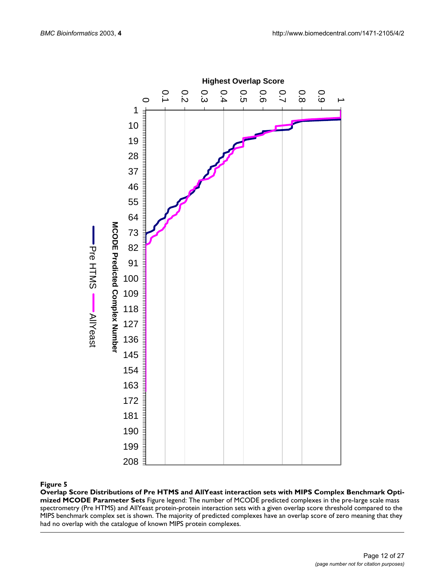<span id="page-11-0"></span>

**Overlap Score Distributions of Pre HTMS and AllYeast interaction sets with MIPS Complex Benchmark Optimized MCODE Parameter Sets** Figure legend: The number of MCODE predicted complexes in the pre-large scale mass spectrometry (Pre HTMS) and AllYeast protein-protein interaction sets with a given overlap score threshold compared to the MIPS benchmark complex set is shown. The majority of predicted complexes have an overlap score of zero meaning that they had no overlap with the catalogue of known MIPS protein complexes.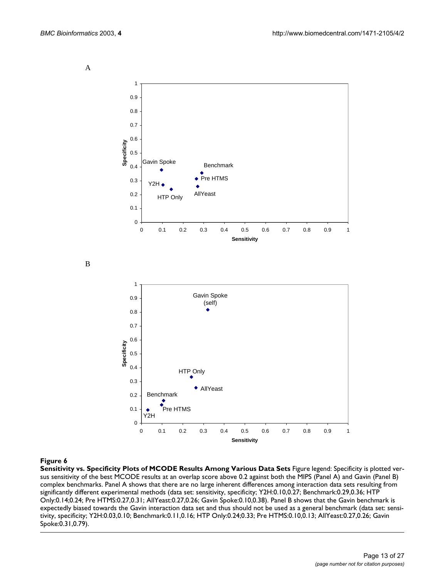<span id="page-12-0"></span>A

B



### **Figure 6**

**Sensitivity vs. Specificity Plots of MCODE Results Among Various Data Sets** Figure legend: Specificity is plotted versus sensitivity of the best MCODE results at an overlap score above 0.2 against both the MIPS (Panel A) and Gavin (Panel B) complex benchmarks. Panel A shows that there are no large inherent differences among interaction data sets resulting from significantly different experimental methods (data set: sensitivity, specificity; Y2H:0.10,0.27; Benchmark:0.29,0.36; HTP Only:0.14;0.24; Pre HTMS:0.27,0.31; AllYeast:0.27,0.26; Gavin Spoke:0.10,0.38). Panel B shows that the Gavin benchmark is expectedly biased towards the Gavin interaction data set and thus should not be used as a general benchmark (data set: sensitivity, specificity; Y2H:0.03,0.10; Benchmark:0.11,0.16; HTP Only:0.24;0.33; Pre HTMS:0.10,0.13; AllYeast:0.27,0.26; Gavin Spoke:0.31,0.79).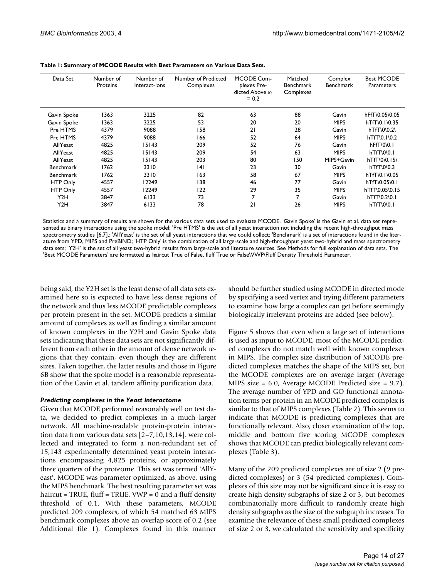| Data Set         | Number of<br>Proteins | Number of<br>Interact-ions | Number of Predicted<br>Complexes | MCODE Com-<br>plexes Pre-<br>dicted Above @<br>$= 0.2$ | Matched<br><b>Benchmark</b><br>Complexes | Complex<br><b>Benchmark</b> | <b>Best MCODE</b><br>Parameters |
|------------------|-----------------------|----------------------------|----------------------------------|--------------------------------------------------------|------------------------------------------|-----------------------------|---------------------------------|
| Gavin Spoke      | 1363                  | 3225                       | 82                               | 63                                                     | 88                                       | Gavin                       | hFfT\0.05\0.05                  |
| Gavin Spoke      | 1363                  | 3225                       | 53                               | 20                                                     | 20                                       | <b>MIPS</b>                 | hTfT\0.1\0.35                   |
| Pre HTMS         | 4379                  | 9088                       | 158                              | 21                                                     | 28                                       | Gavin                       | hTfT\0\0.2\                     |
| Pre HTMS         | 4379                  | 9088                       | 166                              | 52                                                     | 64                                       | <b>MIPS</b>                 | hTfT\0.1\0.2                    |
| AllYeast         | 4825                  | 15143                      | 209                              | 52                                                     | 76                                       | Gavin                       | hFfT\0\0.1                      |
| AllYeast         | 4825                  | 15143                      | 209                              | 54                                                     | 63                                       | <b>MIPS</b>                 | hTfT\0\0.1                      |
| AllYeast         | 4825                  | 15143                      | 203                              | 80                                                     | 150                                      | MIPS+Gavin                  | hTfT\0\0.15\                    |
| <b>Benchmark</b> | 1762                  | 3310                       | 141                              | 23                                                     | 30                                       | Gavin                       | hTfT\0\0.3                      |
| <b>Benchmark</b> | 1762                  | 3310                       | 163                              | 58                                                     | 67                                       | <b>MIPS</b>                 | hTfT\0.1\0.05                   |
| <b>HTP Only</b>  | 4557                  | 12249                      | 138                              | 46                                                     | 77                                       | Gavin                       | hTfT\0.05\0.1                   |
| <b>HTP Only</b>  | 4557                  | 12249                      | 122                              | 29                                                     | 35                                       | <b>MIPS</b>                 | hTfT\0.05\0.15                  |
| Y2H              | 3847                  | 6133                       | 73                               | 7                                                      | 7                                        | Gavin                       | hTfT\0.2\0.1                    |
| Y2H              | 3847                  | 6133                       | 78                               | 21                                                     | 26                                       | <b>MIPS</b>                 | hTfT\0\0.1                      |

#### <span id="page-13-0"></span>**Table 1: Summary of MCODE Results with Best Parameters on Various Data Sets.**

Statistics and a summary of results are shown for the various data sets used to evaluate MCODE. 'Gavin Spoke' is the Gavin et al. data set represented as binary interactions using the spoke model; 'Pre HTMS' is the set of all yeast interaction not including the recent high-throughput mass spectrometry studies [6,7].; 'AllYeast' is the set of all yeast interactions that we could collect; 'Benchmark' is a set of interactions found in the literature from YPD, MIPS and PreBIND; 'HTP Only' is the combination of all large-scale and high-throughput yeast two-hybrid and mass spectrometry data sets; 'Y2H' is the set of all yeast two-hybrid results from large-scale and literature sources. See Methods for full explanation of data sets. The 'Best MCODE Parameters' are formatted as haircut True of False, fluff True or False\VWP\Fluff Density Threshold Parameter.

being said, the Y2H set is the least dense of all data sets examined here so is expected to have less dense regions of the network and thus less MCODE predictable complexes per protein present in the set. MCODE predicts a similar amount of complexes as well as finding a similar amount of known complexes in the Y2H and Gavin Spoke data sets indicating that these data sets are not significantly different from each other in the amount of dense network regions that they contain, even though they are different sizes. Taken together, the latter results and those in Figure [6B](#page-12-0) show that the spoke model is a reasonable representation of the Gavin et al. tandem affinity purification data.

### *Predicting complexes in the Yeast interactome*

Given that MCODE performed reasonably well on test data, we decided to predict complexes in a much larger network. All machine-readable protein-protein interaction data from various data sets [2–7,10,13,14]. were collected and integrated to form a non-redundant set of 15,143 experimentally determined yeast protein interactions encompassing 4,825 proteins, or approximately three quarters of the proteome. This set was termed 'AllYeast'. MCODE was parameter optimized, as above, using the MIPS benchmark. The best resulting parameter set was haircut = TRUE, fluff = TRUE,  $VWP = 0$  and a fluff density threshold of 0.1. With these parameters, MCODE predicted 209 complexes, of which 54 matched 63 MIPS benchmark complexes above an overlap score of 0.2 (see Additional file 1). Complexes found in this manner

should be further studied using MCODE in directed mode by specifying a seed vertex and trying different parameters to examine how large a complex can get before seemingly biologically irrelevant proteins are added (see below).

Figure [5](#page-11-0) shows that even when a large set of interactions is used as input to MCODE, most of the MCODE predicted complexes do not match well with known complexes in MIPS. The complex size distribution of MCODE predicted complexes matches the shape of the MIPS set, but the MCODE complexes are on average larger (Average MIPS size = 6.0, Average MCODE Predicted size = 9.7). The average number of YPD and GO functional annotation terms per protein in an MCODE predicted complex is similar to that of MIPS complexes (Table [2\)](#page-14-0). This seems to indicate that MCODE is predicting complexes that are functionally relevant. Also, closer examination of the top, middle and bottom five scoring MCODE complexes shows that MCODE can predict biologically relevant complexes (Table [3](#page-17-0)).

Many of the 209 predicted complexes are of size 2 (9 predicted complexes) or 3 (54 predicted complexes). Complexes of this size may not be significant since it is easy to create high density subgraphs of size 2 or 3, but becomes combinatorially more difficult to randomly create high density subgraphs as the size of the subgraph increases. To examine the relevance of these small predicted complexes of size 2 or 3, we calculated the sensitivity and specificity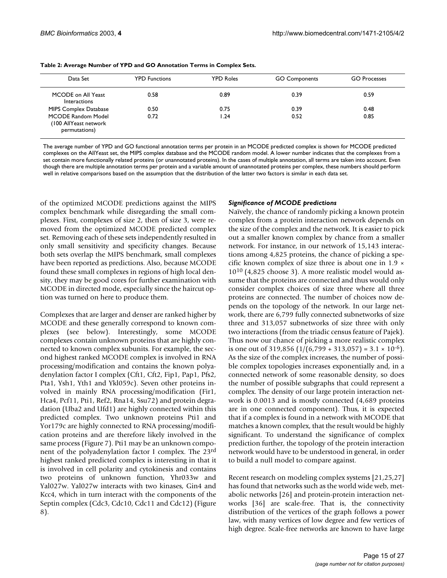| Data Set                                                      | <b>YPD Functions</b> | <b>YPD Roles</b> | <b>GO Components</b> | <b>GO Processes</b> |
|---------------------------------------------------------------|----------------------|------------------|----------------------|---------------------|
| MCODE on All Yeast<br>Interactions                            | 0.58                 | 0.89             | 0.39                 | 0.59                |
| <b>MIPS Complex Database</b>                                  | 0.50                 | 0.75             | 0.39                 | 0.48                |
| MCODE Random Model<br>(100 AllYeast network)<br>permutations) | 0.72                 | 24. ا            | 0.52                 | 0.85                |

<span id="page-14-0"></span>

| Table 2: Average Number of YPD and GO Annotation Terms in Complex Sets. |  |
|-------------------------------------------------------------------------|--|
|-------------------------------------------------------------------------|--|

The average number of YPD and GO functional annotation terms per protein in an MCODE predicted complex is shown for MCODE predicted complexes on the AllYeast set, the MIPS complex database and the MCODE random model. A lower number indicates that the complexes from a set contain more functionally related proteins (or unannotated proteins). In the cases of multiple annotation, all terms are taken into account. Even though there are multiple annotation terms per protein and a variable amount of unannotated proteins per complex, these numbers should perform well in relative comparisons based on the assumption that the distribution of the latter two factors is similar in each data set.

of the optimized MCODE predictions against the MIPS complex benchmark while disregarding the small complexes. First, complexes of size 2, then of size 3, were removed from the optimized MCODE predicted complex set. Removing each of these sets independently resulted in only small sensitivity and specificity changes. Because both sets overlap the MIPS benchmark, small complexes have been reported as predictions. Also, because MCODE found these small complexes in regions of high local density, they may be good cores for further examination with MCODE in directed mode, especially since the haircut option was turned on here to produce them.

Complexes that are larger and denser are ranked higher by MCODE and these generally correspond to known complexes (see below). Interestingly, some MCODE complexes contain unknown proteins that are highly connected to known complex subunits. For example, the second highest ranked MCODE complex is involved in RNA processing/modification and contains the known polyadenylation factor I complex (Cft1, Cft2, Fip1, Pap1, Pfs2, Pta1, Ysh1, Yth1 and Ykl059c). Seven other proteins involved in mainly RNA processing/modification (Fir1, Hca4, Pcf11, Pti1, Ref2, Rna14, Ssu72) and protein degradation (Uba2 and Ufd1) are highly connected within this predicted complex. Two unknown proteins Pti1 and Yor179c are highly connected to RNA processing/modification proteins and are therefore likely involved in the same process (Figure 7). Pti1 may be an unknown component of the polyadenylation factor I complex. The 23rd highest ranked predicted complex is interesting in that it is involved in cell polarity and cytokinesis and contains two proteins of unknown function, Yhr033w and Yal027w. Yal027w interacts with two kinases, Gin4 and Kcc4, which in turn interact with the components of the Septin complex (Cdc3, Cdc10, Cdc11 and Cdc12) (Figure 8).

# *Significance of MCODE predictions*

Naïvely, the chance of randomly picking a known protein complex from a protein interaction network depends on the size of the complex and the network. It is easier to pick out a smaller known complex by chance from a smaller network. For instance, in our network of 15,143 interactions among 4,825 proteins, the chance of picking a specific known complex of size three is about one in 1.9 × 1010 (4,825 choose 3). A more realistic model would assume that the proteins are connected and thus would only consider complex choices of size three where all three proteins are connected. The number of choices now depends on the topology of the network. In our large network, there are 6,799 fully connected subnetworks of size three and 313,057 subnetworks of size three with only two interactions (from the triadic census feature of Pajek). Thus now our chance of picking a more realistic complex is one out of 319,856  $(1/(6,799 + 313,057)) = 3.1 \times 10^{-6}$ . As the size of the complex increases, the number of possible complex topologies increases exponentially and, in a connected network of some reasonable density, so does the number of possible subgraphs that could represent a complex. The density of our large protein interaction network is 0.0013 and is mostly connected (4,689 proteins are in one connected component). Thus, it is expected that if a complex is found in a network with MCODE that matches a known complex, that the result would be highly significant. To understand the significance of complex prediction further, the topology of the protein interaction network would have to be understood in general, in order to build a null model to compare against.

Recent research on modeling complex systems [21,25,27] has found that networks such as the world wide web, metabolic networks [26] and protein-protein interaction networks [36] are scale-free. That is, the connectivity distribution of the vertices of the graph follows a power law, with many vertices of low degree and few vertices of high degree. Scale-free networks are known to have large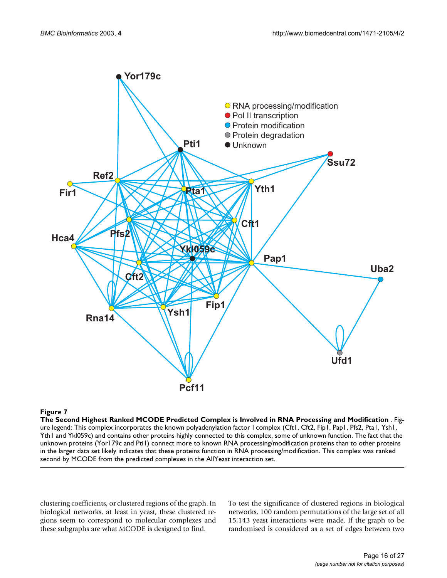

**The Second Highest Ranked MCODE Predicted Complex is Involved in RNA Processing and Modification** . Figure legend: This complex incorporates the known polyadenylation factor I complex (Cft1, Cft2, Fip1, Pap1, Pfs2, Pta1, Ysh1, Yth1 and Ykl059c) and contains other proteins highly connected to this complex, some of unknown function. The fact that the unknown proteins (Yor179c and Pti1) connect more to known RNA processing/modification proteins than to other proteins in the larger data set likely indicates that these proteins function in RNA processing/modification. This complex was ranked second by MCODE from the predicted complexes in the AllYeast interaction set.

clustering coefficients, or clustered regions of the graph. In biological networks, at least in yeast, these clustered regions seem to correspond to molecular complexes and these subgraphs are what MCODE is designed to find.

To test the significance of clustered regions in biological networks, 100 random permutations of the large set of all 15,143 yeast interactions were made. If the graph to be randomised is considered as a set of edges between two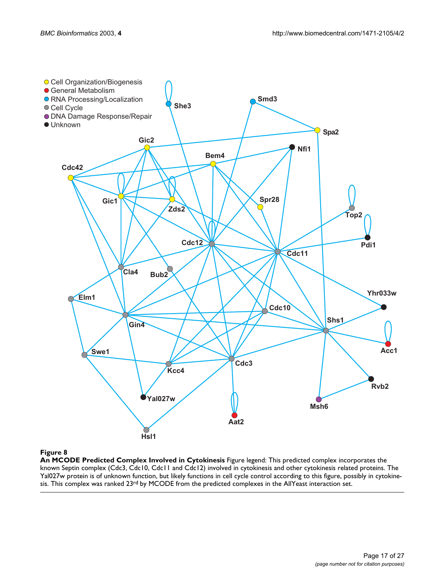

**An MCODE Predicted Complex Involved in Cytokinesis** Figure legend: This predicted complex incorporates the known Septin complex (Cdc3, Cdc10, Cdc11 and Cdc12) involved in cytokinesis and other cytokinesis related proteins. The Yal027w protein is of unknown function, but likely functions in cell cycle control according to this figure, possibly in cytokinesis. This complex was ranked 23<sup>rd</sup> by MCODE from the predicted complexes in the AllYeast interaction set.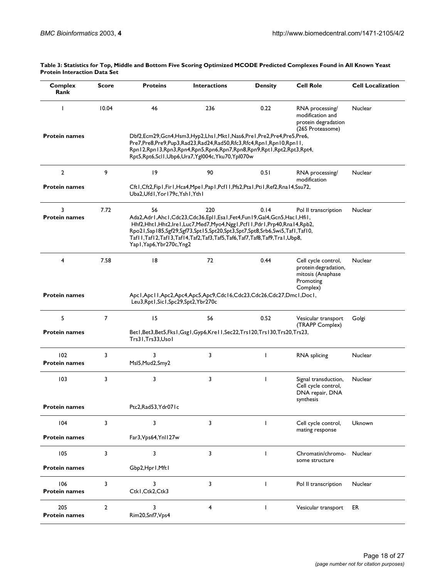| <b>Complex</b><br>Rank      | Score          | <b>Proteins</b>                                                                                                                         | <b>Interactions</b>                                                                                                                                                                                                                                                                                                        | <b>Density</b> | <b>Cell Role</b>                                                                          | <b>Cell Localization</b> |
|-----------------------------|----------------|-----------------------------------------------------------------------------------------------------------------------------------------|----------------------------------------------------------------------------------------------------------------------------------------------------------------------------------------------------------------------------------------------------------------------------------------------------------------------------|----------------|-------------------------------------------------------------------------------------------|--------------------------|
| ı                           | 10.04          | 46                                                                                                                                      | 236                                                                                                                                                                                                                                                                                                                        | 0.22           | RNA processing/<br>modification and<br>protein degradation<br>(26S Proteasome)            | Nuclear                  |
| <b>Protein names</b>        |                |                                                                                                                                         | Dbf2,Ecm29,Gcn4,Hsm3,Hyp2,Lhs1,Mkt1,Nas6,Pre1,Pre2,Pre4,Pre5,Pre6,<br>Pre7, Pre8, Pre9, Pup3, Rad23, Rad24, Rad50, Rfc3, Rfc4, Rpn 1, Rpn 10, Rpn 11,<br>Rpn12, Rpn13, Rpn3, Rpn4, Rpn5, Rpn6, Rpn7, Rpn8, Rpn9, Rpt1, Rpt2, Rpt3, Rpt4,<br>Rpt5, Rpt6, Scl1, Ubp6, Ura7, Ygl004c, Yku70, Ypl070w                          |                |                                                                                           |                          |
| $\overline{2}$              | 9              | 9                                                                                                                                       | 90                                                                                                                                                                                                                                                                                                                         | 0.51           | RNA processing/<br>modification                                                           | Nuclear                  |
| <b>Protein names</b>        |                | Cft I, Cft2, Fip I, Fir I, Hca4, Mpe I, Pap I, Pcf II, Pfs2, Pta I, Pti I, Ref2, Rna I4, Ssu72,<br>Uba2, Ufd I, Yor I 79c, Ysh I, Yth I |                                                                                                                                                                                                                                                                                                                            |                |                                                                                           |                          |
| 3<br><b>Protein names</b>   | 7.72           | 56<br>Yap1, Yap6, Ybr270c, Yng2                                                                                                         | 220<br>Ada2,Adr1,Ahc1,Cdc23,Cdc36,Epl1,Esa1,Fet4,Fun19,Gal4,Gcn5,Hac1,Hfi1,<br>Hhf2,Hht1,Hht2,Ire1,Luc7,Med7,Myo4,Ngg1,Pcf11,Pdr1,Prp40,Rna14,Rpb2,<br>Rpo21,Sap185,Sgf29,Sgf73,Spt15,Spt20,Spt3,Spt7,Spt8,Srb6,Swi5,Taf1,Taf10,<br>Tafl I, Tafl 2, Tafl 3, Tafl 4, Taf2, Taf3, Taf5, Taf6, Taf7, Taf8, Taf9, Tra I, Ubp8, | 0.14           | Pol II transcription                                                                      | Nuclear                  |
| $\overline{4}$              | 7.58           | 18                                                                                                                                      | 72                                                                                                                                                                                                                                                                                                                         | 0.44           | Cell cycle control,<br>protein degradation,<br>mitosis (Anaphase<br>Promoting<br>Complex) | Nuclear                  |
| <b>Protein names</b>        |                | Leu3, Rpt1, Sic1, Spc29, Spt2, Ybr270c                                                                                                  | Apc1,Apc11,Apc2,Apc4,Apc5,Apc9,Cdc16,Cdc23,Cdc26,Cdc27,Dmc1,Doc1,                                                                                                                                                                                                                                                          |                |                                                                                           |                          |
| 5                           | $\overline{7}$ | 15                                                                                                                                      | 56                                                                                                                                                                                                                                                                                                                         | 0.52           | Vesicular transport<br>(TRAPP Complex)                                                    | Golgi                    |
| <b>Protein names</b>        |                | Trs31, Trs33, Uso I                                                                                                                     | Bet1, Bet3, Bet5, Fks1, Gsg1, Gyp6, Kre11, Sec22, Trs120, Trs130, Trs20, Trs23,                                                                                                                                                                                                                                            |                |                                                                                           |                          |
| 102<br><b>Protein names</b> | 3              | 3<br>Msl5, Mud2, Smy2                                                                                                                   | 3                                                                                                                                                                                                                                                                                                                          | T              | <b>RNA</b> splicing                                                                       | Nuclear                  |
| 103                         | 3              | 3                                                                                                                                       | 3                                                                                                                                                                                                                                                                                                                          | T              | Signal transduction,<br>Cell cycle control,<br>DNA repair, DNA<br>synthesis               | Nuclear                  |
| <b>Protein names</b>        |                | Ptc2,Rad53,Ydr071c                                                                                                                      |                                                                                                                                                                                                                                                                                                                            |                |                                                                                           |                          |
| 104                         | 3              | 3                                                                                                                                       | 3                                                                                                                                                                                                                                                                                                                          | T              | Cell cycle control,<br>mating response                                                    | Uknown                   |
| <b>Protein names</b>        |                | Far3, Vps64, Ynl127w                                                                                                                    |                                                                                                                                                                                                                                                                                                                            |                |                                                                                           |                          |
| 105                         | 3              | 3                                                                                                                                       | 3                                                                                                                                                                                                                                                                                                                          | T              | Chromatin/chromo-<br>some structure                                                       | Nuclear                  |
| <b>Protein names</b>        |                | Gbp2,Hpr1,Mft1                                                                                                                          |                                                                                                                                                                                                                                                                                                                            |                |                                                                                           |                          |
| 106<br><b>Protein names</b> | 3              | 3<br>Ctk1, Ctk2, Ctk3                                                                                                                   | 3                                                                                                                                                                                                                                                                                                                          | T              | Pol II transcription                                                                      | Nuclear                  |
| 205<br><b>Protein names</b> | 2              | 3<br>Rim20,Snf7,Vps4                                                                                                                    | 4                                                                                                                                                                                                                                                                                                                          | T              | Vesicular transport                                                                       | ER                       |

#### <span id="page-17-0"></span>**Table 3: Statistics for Top, Middle and Bottom Five Scoring Optimized MCODE Predicted Complexes Found in All Known Yeast Protein Interaction Data Set**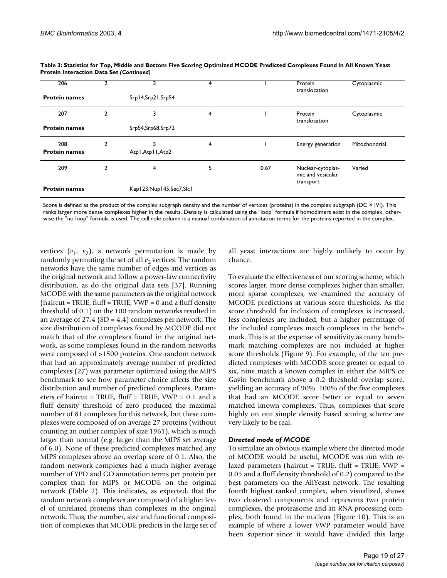| 206<br><b>Protein names</b> |                | Srp14,Srp21,Srp54          |   |      | Protein<br>translocation                            | Cytoplasmic   |
|-----------------------------|----------------|----------------------------|---|------|-----------------------------------------------------|---------------|
| 207<br><b>Protein names</b> | $\overline{2}$ | 3<br>Srp54,Srp68,Srp72     | 4 |      | Protein<br>translocation                            | Cytoplasmic   |
| 208<br><b>Protein names</b> | $\overline{2}$ | 3<br>Atpl, Atpl I, Atp2    | 4 |      | Energy generation                                   | Mitochondrial |
| 209                         | $\overline{2}$ | 4                          | 5 | 0.67 | Nuclear-cytoplas-<br>mic and vesicular<br>transport | Varied        |
| <b>Protein names</b>        |                | Kap123, Nup145, Sec7, Slc1 |   |      |                                                     |               |

|                                                 | Table 3: Statistics for Top, Middle and Bottom Five Scoring Optimized MCODE Predicted Complexes Found in All Known Yeast |
|-------------------------------------------------|--------------------------------------------------------------------------------------------------------------------------|
| <b>Protein Interaction Data Set (Continued)</b> |                                                                                                                          |

Score is defined as the product of the complex subgraph density and the number of vertices (proteins) in the complex subgraph ( $DC \times |V|$ ). This ranks larger more dense complexes higher in the results. Density is calculated using the "loop" formula if homodimers exist in the complex, otherwise the "no loop" formula is used. The cell role column is a manual combination of annotation terms for the proteins reported in the complex.

vertices  $(v_1, v_2)$ , a network permutation is made by randomly permuting the set of all  $v_2$  vertices. The random networks have the same number of edges and vertices as the original network and follow a power-law connectivity distribution, as do the original data sets [37]. Running MCODE with the same parameters as the original network  $(haircut = TRUE, fluff = TRUE, VWP = 0 and a fluff density)$ threshold of 0.1) on the 100 random networks resulted in an average of  $27.4$  (SD = 4.4) complexes per network. The size distribution of complexes found by MCODE did not match that of the complexes found in the original network, as some complexes found in the random networks were composed of >1500 proteins. One random network that had an approximately average number of predicted complexes (27) was parameter optimized using the MIPS benchmark to see how parameter choice affects the size distribution and number of predicted complexes. Parameters of haircut = TRUE, fluff = TRUE, VWP = 0.1 and a fluff density threshold of zero produced the maximal number of 81 complexes for this network, but these complexes were composed of on average 27 proteins (without counting an outlier complex of size 1961), which is much larger than normal (e.g. larger than the MIPS set average of 6.0). None of these predicted complexes matched any MIPS complexes above an overlap score of 0.1. Also, the random network complexes had a much higher average number of YPD and GO annotation terms per protein per complex than for MIPS or MCODE on the original network (Table [2](#page-14-0)). This indicates, as expected, that the random network complexes are composed of a higher level of unrelated proteins than complexes in the original network. Thus, the number, size and functional composition of complexes that MCODE predicts in the large set of all yeast interactions are highly unlikely to occur by chance.

To evaluate the effectiveness of our scoring scheme, which scores larger, more dense complexes higher than smaller, more sparse complexes, we examined the accuracy of MCODE predictions at various score thresholds. As the score threshold for inclusion of complexes is increased, less complexes are included, but a higher percentage of the included complexes match complexes in the benchmark. This is at the expense of sensitivity as many benchmark matching complexes are not included at higher score thresholds (Figure [9\)](#page-19-0). For example, of the ten predicted complexes with MCODE score greater or equal to six, nine match a known complex in either the MIPS or Gavin benchmark above a 0.2 threshold overlap score, yielding an accuracy of 90%. 100% of the five complexes that had an MCODE score better or equal to seven matched known complexes. Thus, complexes that score highly on our simple density based scoring scheme are very likely to be real.

# *Directed mode of MCODE*

To simulate an obvious example where the directed mode of MCODE would be useful, MCODE was run with relaxed parameters (haircut = TRUE, fluff = TRUE, VWP = 0.05 and a fluff density threshold of 0.2) compared to the best parameters on the AllYeast network. The resulting fourth highest ranked complex, when visualized, shows two clustered components and represents two protein complexes, the proteasome and an RNA processing complex, both found in the nucleus (Figure 10). This is an example of where a lower VWP parameter would have been superior since it would have divided this large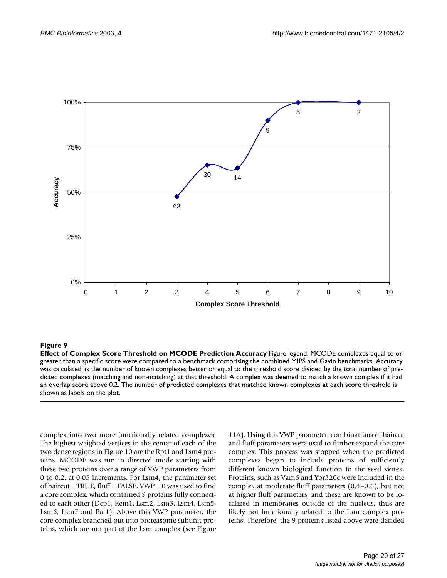<span id="page-19-0"></span>

**Effect of Complex Score Threshold on MCODE Prediction Accuracy** Figure legend: MCODE complexes equal to or greater than a specific score were compared to a benchmark comprising the combined MIPS and Gavin benchmarks. Accuracy was calculated as the number of known complexes better or equal to the threshold score divided by the total number of predicted complexes (matching and non-matching) at that threshold. A complex was deemed to match a known complex if it had an overlap score above 0.2. The number of predicted complexes that matched known complexes at each score threshold is shown as labels on the plot.

complex into two more functionally related complexes. The highest weighted vertices in the center of each of the two dense regions in Figure 10 are the Rpt1 and Lsm4 proteins. MCODE was run in directed mode starting with these two proteins over a range of VWP parameters from 0 to 0.2, at 0.05 increments. For Lsm4, the parameter set of haircut = TRUE, fluff = FALSE, VWP = 0 was used to find a core complex, which contained 9 proteins fully connected to each other (Dcp1, Kem1, Lsm2, Lsm3, Lsm4, Lsm5, Lsm6, Lsm7 and Pat1). Above this VWP parameter, the core complex branched out into proteasome subunit proteins, which are not part of the Lsm complex (see Figure

11A). Using this VWP parameter, combinations of haircut and fluff parameters were used to further expand the core complex. This process was stopped when the predicted complexes began to include proteins of sufficiently different known biological function to the seed vertex. Proteins, such as Vam6 and Yor320c were included in the complex at moderate fluff parameters (0.4–0.6), but not at higher fluff parameters, and these are known to be localized in membranes outside of the nucleus, thus are likely not functionally related to the Lsm complex proteins. Therefore, the 9 proteins listed above were decided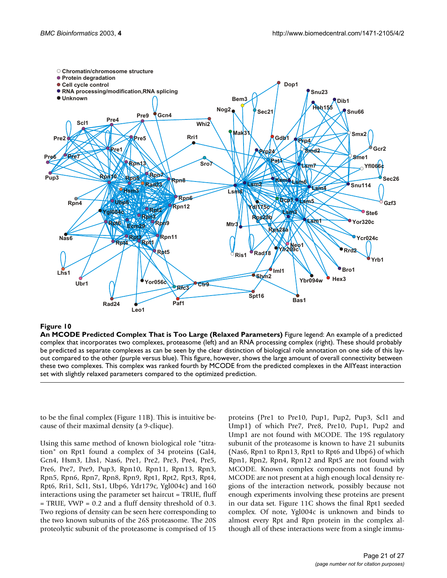

**An MCODE Predicted Complex That is Too Large (Relaxed Parameters)** Figure legend: An example of a predicted complex that incorporates two complexes, proteasome (left) and an RNA processing complex (right). These should probably be predicted as separate complexes as can be seen by the clear distinction of biological role annotation on one side of this layout compared to the other (purple versus blue). This figure, however, shows the large amount of overall connectivity between these two complexes. This complex was ranked fourth by MCODE from the predicted complexes in the AllYeast interaction set with slightly relaxed parameters compared to the optimized prediction.

to be the final complex (Figure 11B). This is intuitive because of their maximal density (a 9-clique).

Using this same method of known biological role "titration" on Rpt1 found a complex of 34 proteins (Gal4, Gcn4, Hsm3, Lhs1, Nas6, Pre1, Pre2, Pre3, Pre4, Pre5, Pre6, Pre7, Pre9, Pup3, Rpn10, Rpn11, Rpn13, Rpn3, Rpn5, Rpn6, Rpn7, Rpn8, Rpn9, Rpt1, Rpt2, Rpt3, Rpt4, Rpt6, Rri1, Scl1, Sts1, Ubp6, Ydr179c, Ygl004c) and 160 interactions using the parameter set haircut = TRUE, fluff  $=$  TRUE, VWP  $=$  0.2 and a fluff density threshold of 0.3. Two regions of density can be seen here corresponding to the two known subunits of the 26S proteasome. The 20S proteolytic subunit of the proteasome is comprised of 15

proteins (Pre1 to Pre10, Pup1, Pup2, Pup3, Scl1 and Ump1) of which Pre7, Pre8, Pre10, Pup1, Pup2 and Ump1 are not found with MCODE. The 19S regulatory subunit of the proteasome is known to have 21 subunits (Nas6, Rpn1 to Rpn13, Rpt1 to Rpt6 and Ubp6) of which Rpn1, Rpn2, Rpn4, Rpn12 and Rpt5 are not found with MCODE. Known complex components not found by MCODE are not present at a high enough local density regions of the interaction network, possibly because not enough experiments involving these proteins are present in our data set. Figure 11C shows the final Rpt1 seeded complex. Of note, Ygl004c is unknown and binds to almost every Rpt and Rpn protein in the complex although all of these interactions were from a single immu-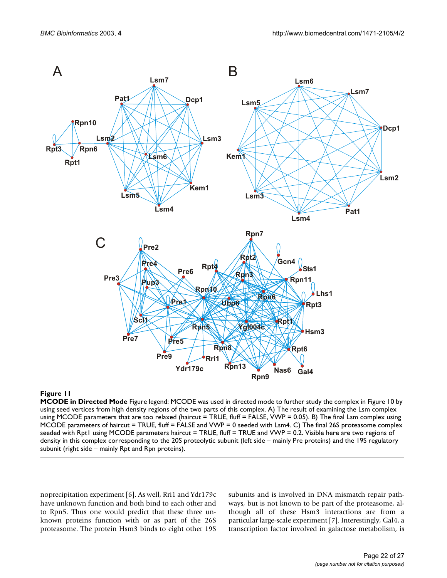

**MCODE in Directed Mode** Figure legend: MCODE was used in directed mode to further study the complex in Figure 10 by using seed vertices from high density regions of the two parts of this complex. A) The result of examining the Lsm complex using MCODE parameters that are too relaxed (haircut = TRUE, fluff = FALSE, VWP = 0.05). B) The final Lsm complex using MCODE parameters of haircut = TRUE, fluff = FALSE and VWP = 0 seeded with Lsm4. C) The final 26S proteasome complex seeded with Rpt1 using MCODE parameters haircut = TRUE, fluff = TRUE and VWP = 0.2. Visible here are two regions of density in this complex corresponding to the 20S proteolytic subunit (left side – mainly Pre proteins) and the 19S regulatory subunit (right side – mainly Rpt and Rpn proteins).

noprecipitation experiment [6]. As well, Rri1 and Ydr179c have unknown function and both bind to each other and to Rpn5. Thus one would predict that these three unknown proteins function with or as part of the 26S proteasome. The protein Hsm3 binds to eight other 19S

subunits and is involved in DNA mismatch repair pathways, but is not known to be part of the proteasome, although all of these Hsm3 interactions are from a particular large-scale experiment [7]. Interestingly, Gal4, a transcription factor involved in galactose metabolism, is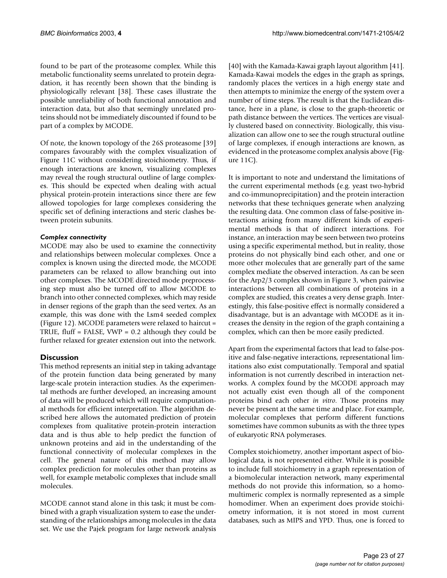found to be part of the proteasome complex. While this metabolic functionality seems unrelated to protein degradation, it has recently been shown that the binding is physiologically relevant [38]. These cases illustrate the possible unreliability of both functional annotation and interaction data, but also that seemingly unrelated proteins should not be immediately discounted if found to be part of a complex by MCODE.

Of note, the known topology of the 26S proteasome [39] compares favourably with the complex visualization of Figure 11C without considering stoichiometry. Thus, if enough interactions are known, visualizing complexes may reveal the rough structural outline of large complexes. This should be expected when dealing with actual physical protein-protein interactions since there are few allowed topologies for large complexes considering the specific set of defining interactions and steric clashes between protein subunits.

### *Complex connectivity*

MCODE may also be used to examine the connectivity and relationships between molecular complexes. Once a complex is known using the directed mode, the MCODE parameters can be relaxed to allow branching out into other complexes. The MCODE directed mode preprocessing step must also be turned off to allow MCODE to branch into other connected complexes, which may reside in denser regions of the graph than the seed vertex. As an example, this was done with the Lsm4 seeded complex (Figure [12](#page-23-0)). MCODE parameters were relaxed to haircut = TRUE, fluff = FALSE,  $VWP = 0.2$  although they could be further relaxed for greater extension out into the network.

# **Discussion**

This method represents an initial step in taking advantage of the protein function data being generated by many large-scale protein interaction studies. As the experimental methods are further developed, an increasing amount of data will be produced which will require computational methods for efficient interpretation. The algorithm described here allows the automated prediction of protein complexes from qualitative protein-protein interaction data and is thus able to help predict the function of unknown proteins and aid in the understanding of the functional connectivity of molecular complexes in the cell. The general nature of this method may allow complex prediction for molecules other than proteins as well, for example metabolic complexes that include small molecules.

MCODE cannot stand alone in this task; it must be combined with a graph visualization system to ease the understanding of the relationships among molecules in the data set. We use the Pajek program for large network analysis [40] with the Kamada-Kawai graph layout algorithm [41]. Kamada-Kawai models the edges in the graph as springs, randomly places the vertices in a high energy state and then attempts to minimize the energy of the system over a number of time steps. The result is that the Euclidean distance, here in a plane, is close to the graph-theoretic or path distance between the vertices. The vertices are visually clustered based on connectivity. Biologically, this visualization can allow one to see the rough structural outline of large complexes, if enough interactions are known, as evidenced in the proteasome complex analysis above (Figure 11C).

It is important to note and understand the limitations of the current experimental methods (e.g. yeast two-hybrid and co-immunoprecipitation) and the protein interaction networks that these techniques generate when analyzing the resulting data. One common class of false-positive interactions arising from many different kinds of experimental methods is that of indirect interactions. For instance, an interaction may be seen between two proteins using a specific experimental method, but in reality, those proteins do not physically bind each other, and one or more other molecules that are generally part of the same complex mediate the observed interaction. As can be seen for the Arp2/3 complex shown in Figure 3, when pairwise interactions between all combinations of proteins in a complex are studied, this creates a very dense graph. Interestingly, this false-positive effect is normally considered a disadvantage, but is an advantage with MCODE as it increases the density in the region of the graph containing a complex, which can then be more easily predicted.

Apart from the experimental factors that lead to false-positive and false-negative interactions, representational limitations also exist computationally. Temporal and spatial information is not currently described in interaction networks. A complex found by the MCODE approach may not actually exist even though all of the component proteins bind each other *in vitro*. Those proteins may never be present at the same time and place. For example, molecular complexes that perform different functions sometimes have common subunits as with the three types of eukaryotic RNA polymerases.

Complex stoichiometry, another important aspect of biological data, is not represented either. While it is possible to include full stoichiometry in a graph representation of a biomolecular interaction network, many experimental methods do not provide this information, so a homomultimeric complex is normally represented as a simple homodimer. When an experiment does provide stoichiometry information, it is not stored in most current databases, such as MIPS and YPD. Thus, one is forced to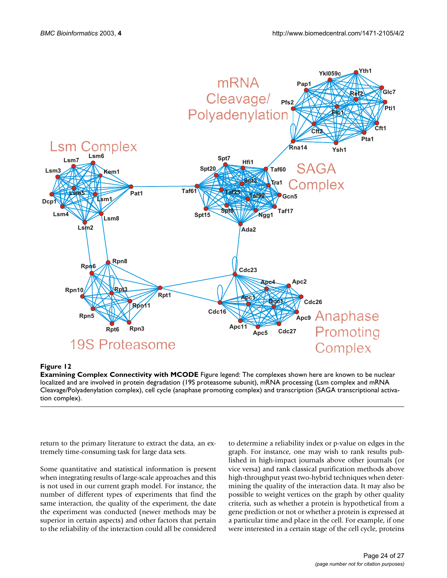<span id="page-23-0"></span>

**Examining Complex Connectivity with MCODE** Figure legend: The complexes shown here are known to be nuclear localized and are involved in protein degradation (19S proteasome subunit), mRNA processing (Lsm complex and mRNA Cleavage/Polyadenylation complex), cell cycle (anaphase promoting complex) and transcription (SAGA transcriptional activation complex).

return to the primary literature to extract the data, an extremely time-consuming task for large data sets.

Some quantitative and statistical information is present when integrating results of large-scale approaches and this is not used in our current graph model. For instance, the number of different types of experiments that find the same interaction, the quality of the experiment, the date the experiment was conducted (newer methods may be superior in certain aspects) and other factors that pertain to the reliability of the interaction could all be considered to determine a reliability index or p-value on edges in the graph. For instance, one may wish to rank results published in high-impact journals above other journals (or vice versa) and rank classical purification methods above high-throughput yeast two-hybrid techniques when determining the quality of the interaction data. It may also be possible to weight vertices on the graph by other quality criteria, such as whether a protein is hypothetical from a gene prediction or not or whether a protein is expressed at a particular time and place in the cell. For example, if one were interested in a certain stage of the cell cycle, proteins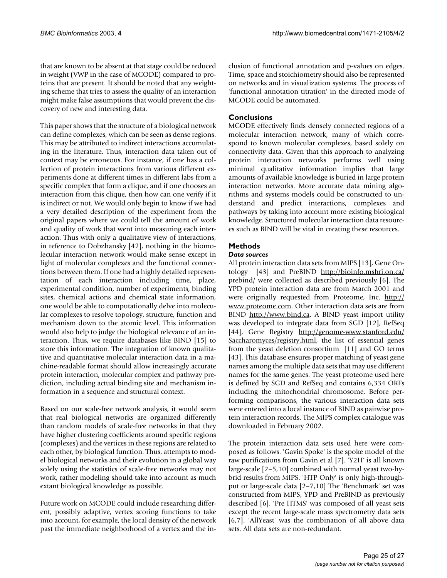that are known to be absent at that stage could be reduced in weight (VWP in the case of MCODE) compared to proteins that are present. It should be noted that any weighting scheme that tries to assess the quality of an interaction might make false assumptions that would prevent the discovery of new and interesting data.

This paper shows that the structure of a biological network can define complexes, which can be seen as dense regions. This may be attributed to indirect interactions accumulating in the literature. Thus, interaction data taken out of context may be erroneous. For instance, if one has a collection of protein interactions from various different experiments done at different times in different labs from a specific complex that form a clique, and if one chooses an interaction from this clique, then how can one verify if it is indirect or not. We would only begin to know if we had a very detailed description of the experiment from the original papers where we could tell the amount of work and quality of work that went into measuring each interaction. Thus with only a qualitative view of interactions, in reference to Dobzhansky [42], nothing in the biomolecular interaction network would make sense except in light of molecular complexes and the functional connections between them. If one had a highly detailed representation of each interaction including time, place, experimental condition, number of experiments, binding sites, chemical actions and chemical state information, one would be able to computationally delve into molecular complexes to resolve topology, structure, function and mechanism down to the atomic level. This information would also help to judge the biological relevance of an interaction. Thus, we require databases like BIND [15] to store this information. The integration of known qualitative and quantitative molecular interaction data in a machine-readable format should allow increasingly accurate protein interaction, molecular complex and pathway prediction, including actual binding site and mechanism information in a sequence and structural context.

Based on our scale-free network analysis, it would seem that real biological networks are organized differently than random models of scale-free networks in that they have higher clustering coefficients around specific regions (complexes) and the vertices in these regions are related to each other, by biological function. Thus, attempts to model biological networks and their evolution in a global way solely using the statistics of scale-free networks may not work, rather modeling should take into account as much extant biological knowledge as possible.

Future work on MCODE could include researching different, possibly adaptive, vertex scoring functions to take into account, for example, the local density of the network past the immediate neighborhood of a vertex and the inclusion of functional annotation and p-values on edges. Time, space and stoichiometry should also be represented on networks and in visualization systems. The process of 'functional annotation titration' in the directed mode of MCODE could be automated.

# **Conclusions**

MCODE effectively finds densely connected regions of a molecular interaction network, many of which correspond to known molecular complexes, based solely on connectivity data. Given that this approach to analyzing protein interaction networks performs well using minimal qualitative information implies that large amounts of available knowledge is buried in large protein interaction networks. More accurate data mining algorithms and systems models could be constructed to understand and predict interactions, complexes and pathways by taking into account more existing biological knowledge. Structured molecular interaction data resources such as BIND will be vital in creating these resources.

# **Methods**

# *Data sources*

All protein interaction data sets from MIPS [13], Gene Ontology [43] and PreBIND [http://bioinfo.mshri.on.ca/](http://bioinfo.mshri.on.ca/prebind/) [prebind/](http://bioinfo.mshri.on.ca/prebind/) were collected as described previously [6]. The YPD protein interaction data are from March 2001 and were originally requested from Proteome, Inc. [http://](http://www.proteome.com) [www.proteome.com](http://www.proteome.com). Other interaction data sets are from BIND <http://www.bind.ca>. A BIND yeast import utility was developed to integrate data from SGD [12], RefSeq [44], Gene Registry [http://genome-www.stanford.edu/](http://genome-www.stanford.edu/Saccharomyces/registry.html) [Saccharomyces/registry.html](http://genome-www.stanford.edu/Saccharomyces/registry.html), the list of essential genes from the yeast deletion consortium [11] and GO terms [43]. This database ensures proper matching of yeast gene names among the multiple data sets that may use different names for the same genes. The yeast proteome used here is defined by SGD and RefSeq and contains 6,334 ORFs including the mitochondrial chromosome. Before performing comparisons, the various interaction data sets were entered into a local instance of BIND as pairwise protein interaction records. The MIPS complex catalogue was downloaded in February 2002.

The protein interaction data sets used here were composed as follows. 'Gavin Spoke' is the spoke model of the raw purifications from Gavin et al [7]. 'Y2H' is all known large-scale [2–5,10] combined with normal yeast two-hybrid results from MIPS. 'HTP Only' is only high-throughput or large-scale data [2–7,10] The 'Benchmark' set was constructed from MIPS, YPD and PreBIND as previously described [6]. 'Pre HTMS' was composed of all yeast sets except the recent large-scale mass spectrometry data sets [6,7]. 'AllYeast' was the combination of all above data sets. All data sets are non-redundant.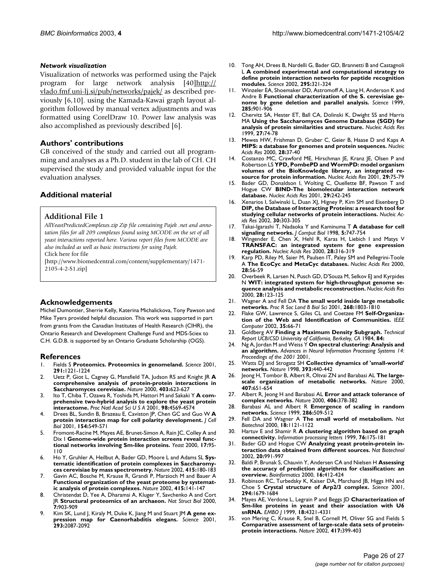### *Network visualization*

Visualization of networks was performed using the Pajek program for large network analysis [40][http://](http://vlado.fmf.uni-lj.si/pub/networks/pajek/) [vlado.fmf.uni-lj.si/pub/networks/pajek/](http://vlado.fmf.uni-lj.si/pub/networks/pajek/) as described previously [6,10]. using the Kamada-Kawai graph layout algorithm followed by manual vertex adjustments and was formatted using CorelDraw 10. Power law analysis was also accomplished as previously described [6].

# **Authors' contributions**

GB conceived of the study and carried out all programming and analyses as a Ph.D. student in the lab of CH. CH supervised the study and provided valuable input for the evaluation analyses.

# **Additional material**

# **Additional File 1**

*AllYeastPredictedComplexes.zip Zip file containing Pajek .net and annotation files for all 209 complexes found using MCODE on the set of all yeast interactions reported here. Various report files from MCODE are also included as well as basic instructions for using Pajek.*

Click here for file

[\[http://www.biomedcentral.com/content/supplementary/1471-](http://www.biomedcentral.com/content/supplementary/1471-2105-4-2-S1.zip) 2105-4-2-S1.zip]

# **Acknowledgements**

Michel Dumontier, Sherrie Kelly, Katerina Michalickova, Tony Pawson and Mike Tyers provided helpful discussion. This work was supported in part from grants from the Canadian Institutes of Health Research (CIHR), the Ontario Research and Development Challenge Fund and MDS-Sciex to C.H. G.D.B. is supported by an Ontario Graduate Scholarship (OGS).

# **References**

- 1. Fields S **[Proteomics. Proteomics in genomeland.](http://www.ncbi.nlm.nih.gov/entrez/query.fcgi?cmd=Retrieve&db=PubMed&dopt=Abstract&list_uids=11233445)** *Science* 2001, **291:**1221-1224
- 2. Uetz P, Giot L, Cagney G, Mansfield TA, Judson RS and Knight JR **[A](http://www.ncbi.nlm.nih.gov/entrez/query.fcgi?cmd=Retrieve&db=PubMed&dopt=Abstract&list_uids=10688190) [comprehensive analysis of protein-protein interactions in](http://www.ncbi.nlm.nih.gov/entrez/query.fcgi?cmd=Retrieve&db=PubMed&dopt=Abstract&list_uids=10688190) [Saccharomyces cerevisiae.](http://www.ncbi.nlm.nih.gov/entrez/query.fcgi?cmd=Retrieve&db=PubMed&dopt=Abstract&list_uids=10688190)** *Nature* 2000, **403:**623-627
- 3. Ito T, Chiba T, Ozawa R, Yoshida M, Hattori M and Sakaki Y **[A com](http://www.ncbi.nlm.nih.gov/entrez/query.fcgi?cmd=Retrieve&db=PubMed&dopt=Abstract&list_uids=31875)[prehensive two-hybrid analysis to explore the yeast protein](http://www.ncbi.nlm.nih.gov/entrez/query.fcgi?cmd=Retrieve&db=PubMed&dopt=Abstract&list_uids=31875) [interactome.](http://www.ncbi.nlm.nih.gov/entrez/query.fcgi?cmd=Retrieve&db=PubMed&dopt=Abstract&list_uids=31875)** *Proc Natl Acad Sci U S A* 2001, **98:**4569-4574
- 4. Drees BL, Sundin B, Brazeau E, Caviston JP, Chen GC and Guo W **[A](http://www.ncbi.nlm.nih.gov/entrez/query.fcgi?cmd=Retrieve&db=PubMed&dopt=Abstract&list_uids=11489916) [protein interaction map for cell polarity development.](http://www.ncbi.nlm.nih.gov/entrez/query.fcgi?cmd=Retrieve&db=PubMed&dopt=Abstract&list_uids=11489916)** *J Cell Biol* 2001, **154:**549-571
- 5. Fromont-Racine M, Mayes AE, Brunet-Simon A, Rain JC, Colley A and Dix I **[Genome-wide protein interaction screens reveal func](http://www.ncbi.nlm.nih.gov/entrez/query.fcgi?cmd=Retrieve&db=PubMed&dopt=Abstract&list_uids=10900456)[tional networks involving Sm-like proteins.](http://www.ncbi.nlm.nih.gov/entrez/query.fcgi?cmd=Retrieve&db=PubMed&dopt=Abstract&list_uids=10900456)** *Yeast* 2000, **17:**95- 110
- 6. Ho Y, Gruhler A, Heilbut A, Bader GD, Moore L and Adams SL **[Sys](http://www.ncbi.nlm.nih.gov/entrez/query.fcgi?cmd=Retrieve&db=PubMed&dopt=Abstract&list_uids=11805837)[tematic identification of protein complexes in Saccharomy](http://www.ncbi.nlm.nih.gov/entrez/query.fcgi?cmd=Retrieve&db=PubMed&dopt=Abstract&list_uids=11805837)[ces cerevisiae by mass spectrometry.](http://www.ncbi.nlm.nih.gov/entrez/query.fcgi?cmd=Retrieve&db=PubMed&dopt=Abstract&list_uids=11805837)** *Nature* 2002, **415:**180-183
- 7. Gavin AC, Bosche M, Krause R, Grandi P, Marzioch M and Bauer A **[Functional organization of the yeast proteome by systemat](http://www.ncbi.nlm.nih.gov/entrez/query.fcgi?cmd=Retrieve&db=PubMed&dopt=Abstract&list_uids=11805826)[ic analysis of protein complexes.](http://www.ncbi.nlm.nih.gov/entrez/query.fcgi?cmd=Retrieve&db=PubMed&dopt=Abstract&list_uids=11805826)** *Nature* 2002, **415:**141-147
- 8. Christendat D, Yee A, Dharamsi A, Kluger Y, Savchenko A and Cort JR **[Structural proteomics of an archaeon.](http://www.ncbi.nlm.nih.gov/entrez/query.fcgi?cmd=Retrieve&db=PubMed&dopt=Abstract&list_uids=11017201)** *Nat Struct Biol* 2000, **7:**903-909
- 9. Kim SK, Lund J, Kiraly M, Duke K, Jiang M and Stuart JM **[A gene ex](http://www.ncbi.nlm.nih.gov/entrez/query.fcgi?cmd=Retrieve&db=PubMed&dopt=Abstract&list_uids=11557892)[pression map for Caenorhabditis elegans.](http://www.ncbi.nlm.nih.gov/entrez/query.fcgi?cmd=Retrieve&db=PubMed&dopt=Abstract&list_uids=11557892)** *Science* 2001, **293:**2087-2092
- 10. Tong AH, Drees B, Nardelli G, Bader GD, Brannetti B and Castagnoli L **[A combined experimental and computational strategy to](http://www.ncbi.nlm.nih.gov/entrez/query.fcgi?cmd=Retrieve&db=PubMed&dopt=Abstract&list_uids=11743162) [define protein interaction networks for peptide recognition](http://www.ncbi.nlm.nih.gov/entrez/query.fcgi?cmd=Retrieve&db=PubMed&dopt=Abstract&list_uids=11743162) [modules.](http://www.ncbi.nlm.nih.gov/entrez/query.fcgi?cmd=Retrieve&db=PubMed&dopt=Abstract&list_uids=11743162)** *Science* 2002, **295:**321-324
- 11. Winzeler EA, Shoemaker DD, Astromoff A, Liang H, Anderson K and Andre B **[Functional characterization of the S. cerevisiae ge](http://www.ncbi.nlm.nih.gov/entrez/query.fcgi?cmd=Retrieve&db=PubMed&dopt=Abstract&list_uids=10436161)[nome by gene deletion and parallel analysis.](http://www.ncbi.nlm.nih.gov/entrez/query.fcgi?cmd=Retrieve&db=PubMed&dopt=Abstract&list_uids=10436161)** *Science* 1999, **285:**901-906
- 12. Chervitz SA, Hester ET, Ball CA, Dolinski K, Dwight SS and Harris MA **[Using the Saccharomyces Genome Database \(SGD\) for](http://www.ncbi.nlm.nih.gov/entrez/query.fcgi?cmd=Retrieve&db=PubMed&dopt=Abstract&list_uids=9847146) [analysis of protein similarities and structure.](http://www.ncbi.nlm.nih.gov/entrez/query.fcgi?cmd=Retrieve&db=PubMed&dopt=Abstract&list_uids=9847146)** *Nucleic Acids Res* 1999, **27:**74-78
- 13. Mewes HW, Frishman D, Gruber C, Geier B, Haase D and Kaps A **[MIPS: a database for genomes and protein sequences.](http://www.ncbi.nlm.nih.gov/entrez/query.fcgi?cmd=Retrieve&db=PubMed&dopt=Abstract&list_uids=102494)** *Nucleic Acids Res* 2000, **28:**37-40
- 14. Costanzo MC, Crawford ME, Hirschman JE, Kranz JE, Olsen P and Robertson LS **[YPD, PombePD and WormPD: model organism](http://www.ncbi.nlm.nih.gov/entrez/query.fcgi?cmd=Retrieve&db=PubMed&dopt=Abstract&list_uids=29810) [volumes of the BioKnowledge library, an integrated re](http://www.ncbi.nlm.nih.gov/entrez/query.fcgi?cmd=Retrieve&db=PubMed&dopt=Abstract&list_uids=29810)[source for protein information.](http://www.ncbi.nlm.nih.gov/entrez/query.fcgi?cmd=Retrieve&db=PubMed&dopt=Abstract&list_uids=29810)** *Nucleic Acids Res* 2001, **29:**75-79
- 15. Bader GD, Donaldson I, Wolting C, Ouellette BF, Pawson T and Hogue CW **[BIND-The biomolecular interaction network](http://www.ncbi.nlm.nih.gov/entrez/query.fcgi?cmd=Retrieve&db=PubMed&dopt=Abstract&list_uids=29820) [database.](http://www.ncbi.nlm.nih.gov/entrez/query.fcgi?cmd=Retrieve&db=PubMed&dopt=Abstract&list_uids=29820)** *Nucleic Acids Res* 2001, **29:**242-245
- 16. Xenarios I, Salwinski L, Duan XJ, Higney P, Kim SM and Eisenberg D **[DIP, the Database of Interacting Proteins: a research tool for](http://www.ncbi.nlm.nih.gov/entrez/query.fcgi?cmd=Retrieve&db=PubMed&dopt=Abstract&list_uids=99070) [studying cellular networks of protein interactions.](http://www.ncbi.nlm.nih.gov/entrez/query.fcgi?cmd=Retrieve&db=PubMed&dopt=Abstract&list_uids=99070)** *Nucleic Acids Res* 2002, **30:**303-305
- 17. Takai-Igarashi T, Nadaoka Y and Kaminuma T **[A database for cell](http://www.ncbi.nlm.nih.gov/entrez/query.fcgi?cmd=Retrieve&db=PubMed&dopt=Abstract&list_uids=10072089) [signaling networks.](http://www.ncbi.nlm.nih.gov/entrez/query.fcgi?cmd=Retrieve&db=PubMed&dopt=Abstract&list_uids=10072089)** *J Comput Biol* 1998, **5:**747-754
- 18. Wingender E, Chen X, Hehl R, Karas H, Liebich I and Matys V **[TRANSFAC: an integrated system for gene expression](http://www.ncbi.nlm.nih.gov/entrez/query.fcgi?cmd=Retrieve&db=PubMed&dopt=Abstract&list_uids=102445) [regulation.](http://www.ncbi.nlm.nih.gov/entrez/query.fcgi?cmd=Retrieve&db=PubMed&dopt=Abstract&list_uids=102445)** *Nucleic Acids Res* 2000, **28:**316-319
- 19. Karp PD, Riley M, Saier M, Paulsen IT, Paley SM and Pellegrini-Toole A **[The EcoCyc and MetaCyc databases.](http://www.ncbi.nlm.nih.gov/entrez/query.fcgi?cmd=Retrieve&db=PubMed&dopt=Abstract&list_uids=102475)** *Nucleic Acids Res* 2000, **28:**56-59
- 20. Overbeek R, Larsen N, Pusch GD, D'Souza M, Selkov EJ and Kyrpides N **[WIT: integrated system for high-throughput genome se](http://www.ncbi.nlm.nih.gov/entrez/query.fcgi?cmd=Retrieve&db=PubMed&dopt=Abstract&list_uids=102471)[quence analysis and metabolic reconstruction.](http://www.ncbi.nlm.nih.gov/entrez/query.fcgi?cmd=Retrieve&db=PubMed&dopt=Abstract&list_uids=102471)** *Nucleic Acids Res* 2000, **28:**123-125
- 21. Wagner A and Fell DA **[The small world inside large metabolic](http://www.ncbi.nlm.nih.gov/entrez/query.fcgi?cmd=Retrieve&db=PubMed&dopt=Abstract&list_uids=11522199) [networks.](http://www.ncbi.nlm.nih.gov/entrez/query.fcgi?cmd=Retrieve&db=PubMed&dopt=Abstract&list_uids=11522199)** *Proc R Soc Lond B Biol Sci* 2001, **268:**1803-1810
- 22. Flake GW, Lawrence S, Giles CL and Coetzee FM **Self-Organization of the Web and Identification of Communities.** *IEEE Computer* 2002, **35:**66-71
- 23. Goldberg AV **Finding a Maximum Density Subgraph.** *Technical Report UCB/CSD University of California, Berkeley, CA* 1984, **84:**
- 24. Ng A, Jordan M and Weiss Y **On spectral clustering: Analysis and an algorithm.** *Advances in Neural Information Processing Systems 14: Proceedings of the 2001* 2001,
- 25. Watts DJ and Strogatz SH **[Collective dynamics of 'small-world'](http://www.ncbi.nlm.nih.gov/entrez/query.fcgi?cmd=Retrieve&db=PubMed&dopt=Abstract&list_uids=9623998) [networks.](http://www.ncbi.nlm.nih.gov/entrez/query.fcgi?cmd=Retrieve&db=PubMed&dopt=Abstract&list_uids=9623998)** *Nature* 1998, **393:**440-442
- 26. Jeong H, Tombor B, Albert R, Oltvai ZN and Barabasi AL **[The large](http://www.ncbi.nlm.nih.gov/entrez/query.fcgi?cmd=Retrieve&db=PubMed&dopt=Abstract&list_uids=11034217)[scale organization of metabolic networks.](http://www.ncbi.nlm.nih.gov/entrez/query.fcgi?cmd=Retrieve&db=PubMed&dopt=Abstract&list_uids=11034217)** *Nature* 2000, **407:**651-654
- 27. Albert R, Jeong H and Barabasi AL **[Error and attack tolerance of](http://www.ncbi.nlm.nih.gov/entrez/query.fcgi?cmd=Retrieve&db=PubMed&dopt=Abstract&list_uids=10935628) [complex networks.](http://www.ncbi.nlm.nih.gov/entrez/query.fcgi?cmd=Retrieve&db=PubMed&dopt=Abstract&list_uids=10935628)** *Nature* 2000, **406:**378-382
- 28. Barabasi AL and Albert R **[Emergence of scaling in random](http://www.ncbi.nlm.nih.gov/entrez/query.fcgi?cmd=Retrieve&db=PubMed&dopt=Abstract&list_uids=10521342) [networks.](http://www.ncbi.nlm.nih.gov/entrez/query.fcgi?cmd=Retrieve&db=PubMed&dopt=Abstract&list_uids=10521342)** *Science* 1999, **286:**509-512
- 29. Fell DA and Wagner A **[The small world of metabolism.](http://www.ncbi.nlm.nih.gov/entrez/query.fcgi?cmd=Retrieve&db=PubMed&dopt=Abstract&list_uids=11062388)** *Nat Biotechnol* 2000, **18:**1121-1122
- 30. Hartuv E and Shamir R **A clustering algorithm based on graph connectivity.** *Information processing letters* 1999, **76:**175-181
- 31. Bader GD and Hogue CW **[Analyzing yeast protein-protein in](http://www.ncbi.nlm.nih.gov/entrez/query.fcgi?cmd=Retrieve&db=PubMed&dopt=Abstract&list_uids=12355115)[teraction data obtained from different sources.](http://www.ncbi.nlm.nih.gov/entrez/query.fcgi?cmd=Retrieve&db=PubMed&dopt=Abstract&list_uids=12355115)** *Nat Biotechnol* 2002, **20:**991-997
- 32. Baldi P, Brunak S, Chauvin Y, Andersen CA and Nielsen H **[Assessing](http://www.ncbi.nlm.nih.gov/entrez/query.fcgi?cmd=Retrieve&db=PubMed&dopt=Abstract&list_uids=10871264) [the accuracy of prediction algorithms for classification: an](http://www.ncbi.nlm.nih.gov/entrez/query.fcgi?cmd=Retrieve&db=PubMed&dopt=Abstract&list_uids=10871264) [overview.](http://www.ncbi.nlm.nih.gov/entrez/query.fcgi?cmd=Retrieve&db=PubMed&dopt=Abstract&list_uids=10871264)** *Bioinformatics* 2000, **16:**412-424
- Robinson RC, Turbedsky K, Kaiser DA, Marchand JB, Higgs HN and Choe S **[Crystal structure of Arp2/3 complex.](http://www.ncbi.nlm.nih.gov/entrez/query.fcgi?cmd=Retrieve&db=PubMed&dopt=Abstract&list_uids=11721045)** *Science* 2001, **294:**1679-1684
- 34. Mayes AE, Verdone L, Legrain P and Beggs JD **[Characterization of](http://www.ncbi.nlm.nih.gov/entrez/query.fcgi?cmd=Retrieve&db=PubMed&dopt=Abstract&list_uids=10428970) [Sm-like proteins in yeast and their association with U6](http://www.ncbi.nlm.nih.gov/entrez/query.fcgi?cmd=Retrieve&db=PubMed&dopt=Abstract&list_uids=10428970) [snRNA.](http://www.ncbi.nlm.nih.gov/entrez/query.fcgi?cmd=Retrieve&db=PubMed&dopt=Abstract&list_uids=10428970)** *EMBO J* 1999, **18:**4321-4331
- 35. von Mering C, Krause R, Snel B, Cornell M, Oliver SG and Fields S **[Comparative assessment of large-scale data sets of protein](http://www.ncbi.nlm.nih.gov/entrez/query.fcgi?cmd=Retrieve&db=PubMed&dopt=Abstract&list_uids=12000970)[protein interactions.](http://www.ncbi.nlm.nih.gov/entrez/query.fcgi?cmd=Retrieve&db=PubMed&dopt=Abstract&list_uids=12000970)** *Nature* 2002, **417:**399-403